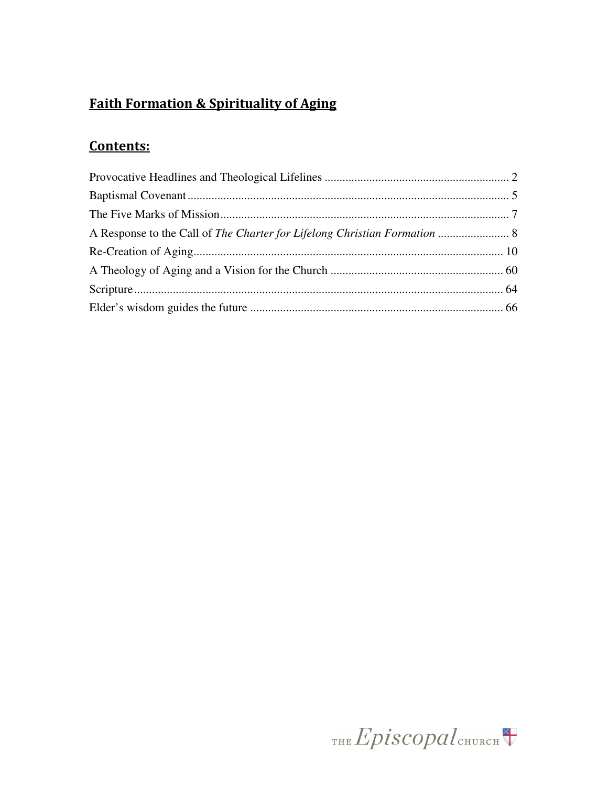# **Faith Formation & Spirituality of Aging**

## **Contents:**

| A Response to the Call of The Charter for Lifelong Christian Formation  8 |  |
|---------------------------------------------------------------------------|--|
|                                                                           |  |
|                                                                           |  |
|                                                                           |  |
|                                                                           |  |

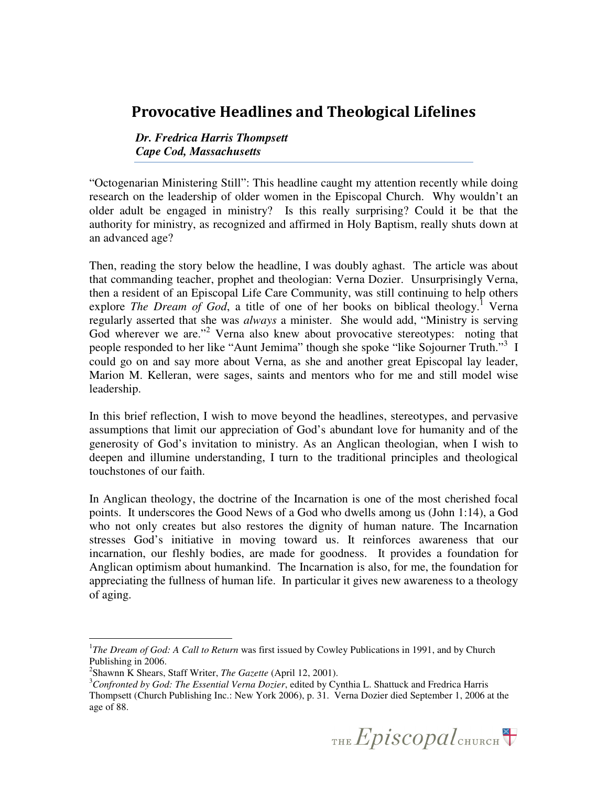### Provocative Headlines and Theological Lifelines

*Dr. Fredrica Harris Thompsett Cape Cod, Massachusetts* 

"Octogenarian Ministering Still": This headline caught my attention recently while doing research on the leadership of older women in the Episcopal Church. Why wouldn't an older adult be engaged in ministry? Is this really surprising? Could it be that the authority for ministry, as recognized and affirmed in Holy Baptism, really shuts down at an advanced age?

Then, reading the story below the headline, I was doubly aghast. The article was about that commanding teacher, prophet and theologian: Verna Dozier. Unsurprisingly Verna, then a resident of an Episcopal Life Care Community, was still continuing to help others explore *The Dream of God*, a title of one of her books on biblical theology.<sup>1</sup> Verna regularly asserted that she was *always* a minister. She would add, "Ministry is serving God wherever we are."<sup>2</sup> Verna also knew about provocative stereotypes: noting that people responded to her like "Aunt Jemima" though she spoke "like Sojourner Truth."<sup>3</sup> I could go on and say more about Verna, as she and another great Episcopal lay leader, Marion M. Kelleran, were sages, saints and mentors who for me and still model wise leadership.

In this brief reflection, I wish to move beyond the headlines, stereotypes, and pervasive assumptions that limit our appreciation of God's abundant love for humanity and of the generosity of God's invitation to ministry. As an Anglican theologian, when I wish to deepen and illumine understanding, I turn to the traditional principles and theological touchstones of our faith.

In Anglican theology, the doctrine of the Incarnation is one of the most cherished focal points. It underscores the Good News of a God who dwells among us (John 1:14), a God who not only creates but also restores the dignity of human nature. The Incarnation stresses God's initiative in moving toward us. It reinforces awareness that our incarnation, our fleshly bodies, are made for goodness. It provides a foundation for Anglican optimism about humankind. The Incarnation is also, for me, the foundation for appreciating the fullness of human life. In particular it gives new awareness to a theology of aging.

 $\overline{a}$ 

THE  $Epis copal$ <sub>CHURCH</sub>

<sup>&</sup>lt;sup>1</sup>The Dream of God: A Call to Return was first issued by Cowley Publications in 1991, and by Church Publishing in 2006.

<sup>2</sup> Shawnn K Shears, Staff Writer, *The Gazette* (April 12, 2001).

<sup>3</sup>*Confronted by God: The Essential Verna Dozier*, edited by Cynthia L. Shattuck and Fredrica Harris Thompsett (Church Publishing Inc.: New York 2006), p. 31. Verna Dozier died September 1, 2006 at the age of 88.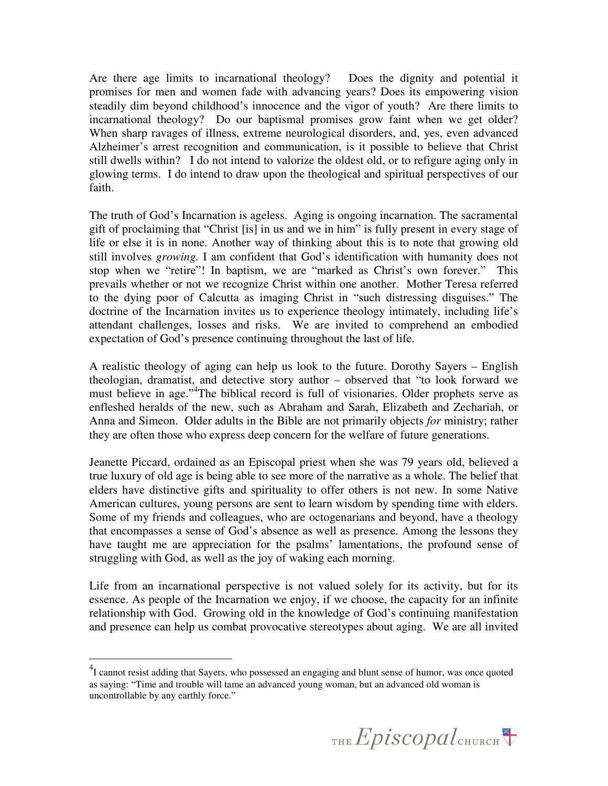Are there age limits to incarnational theology? Does the dignity and potential it promises for men and women fade with advancing years? Does its empowering vision steadily dim beyond childhood's innocence and the vigor of youth? Are there limits to incarnational theology? Do our baptismal promises grow faint when we get older? When sharp ravages of illness, extreme neurological disorders, and, yes, even advanced Alzheimer's arrest recognition and communication, is it possible to believe that Christ still dwells within? I do not intend to valorize the oldest old, or to refigure aging only in glowing terms. I do intend to draw upon the theological and spiritual perspectives of our faith.

The truth of God's Incarnation is ageless. Aging is ongoing incarnation. The sacramental gift of proclaiming that "Christ [is] in us and we in him" is fully present in every stage of life or else it is in none. Another way of thinking about this is to note that growing old still involves *growing.* I am confident that God's identification with humanity does not stop when we "retire"! In baptism, we are "marked as Christ's own forever." This prevails whether or not we recognize Christ within one another. Mother Teresa referred to the dying poor of Calcutta as imaging Christ in "such distressing disguises." The doctrine of the Incarnation invites us to experience theology intimately, including life's attendant challenges, losses and risks. We are invited to comprehend an embodied expectation of God's presence continuing throughout the last of life.

A realistic theology of aging can help us look to the future. Dorothy Sayers – English theologian, dramatist, and detective story author – observed that "to look forward we must believe in age."<sup>4</sup>The biblical record is full of visionaries. Older prophets serve as enfleshed heralds of the new, such as Abraham and Sarah, Elizabeth and Zechariah, or Anna and Simeon. Older adults in the Bible are not primarily objects *for* ministry; rather they are often those who express deep concern for the welfare of future generations.

Jeanette Piccard, ordained as an Episcopal priest when she was 79 years old, believed a true luxury of old age is being able to see more of the narrative as a whole. The belief that elders have distinctive gifts and spirituality to offer others is not new. In some Native American cultures, young persons are sent to learn wisdom by spending time with elders. Some of my friends and colleagues, who are octogenarians and beyond, have a theology that encompasses a sense of God's absence as well as presence. Among the lessons they have taught me are appreciation for the psalms' lamentations, the profound sense of struggling with God, as well as the joy of waking each morning.

Life from an incarnational perspective is not valued solely for its activity, but for its essence. As people of the Incarnation we enjoy, if we choose, the capacity for an infinite relationship with God. Growing old in the knowledge of God's continuing manifestation and presence can help us combat provocative stereotypes about aging. We are all invited

 $\overline{a}$ 

THE  $Episcopal$ <sub>CHURCH</sub>

<sup>&</sup>lt;sup>4</sup>I cannot resist adding that Sayers, who possessed an engaging and blunt sense of humor, was once quoted as saying: "Time and trouble will tame an advanced young woman, but an advanced old woman is uncontrollable by any earthly force."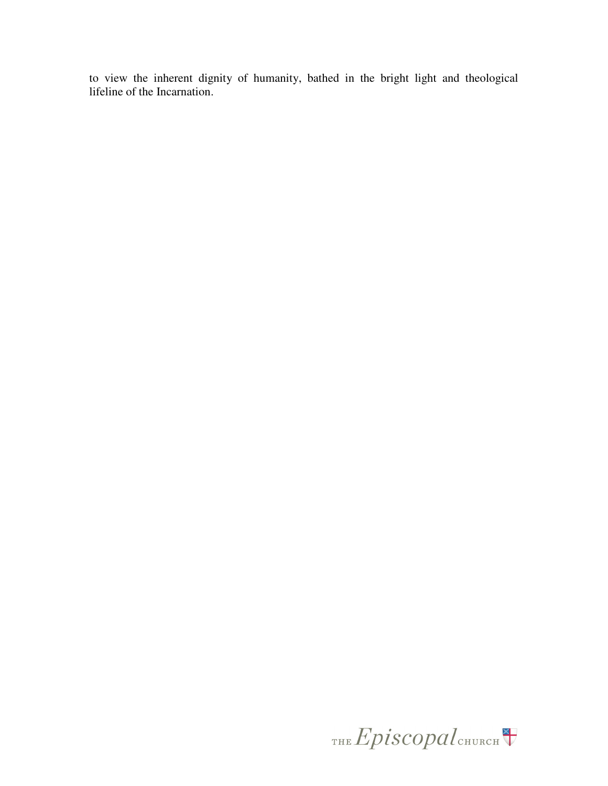to view the inherent dignity of humanity, bathed in the bright light and theological lifeline of the Incarnation.

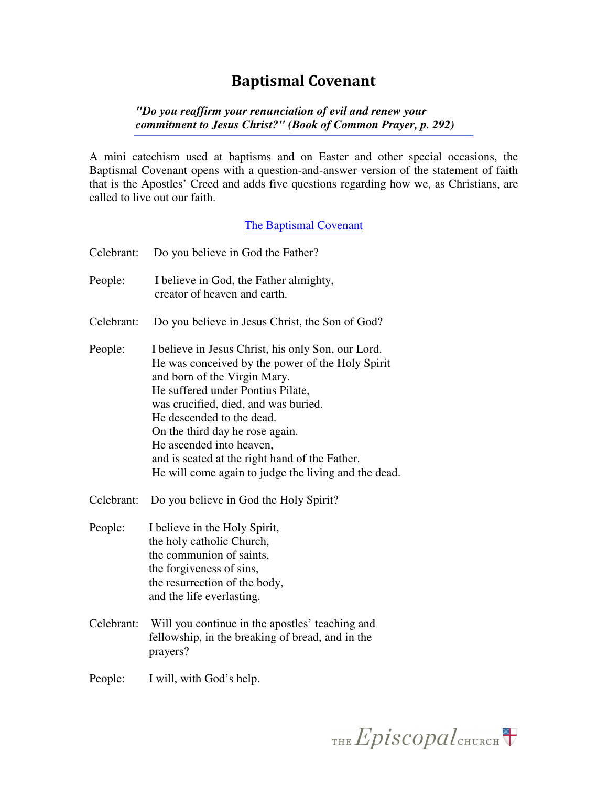## Baptismal Covenant

#### *"Do you reaffirm your renunciation of evil and renew your commitment to Jesus Christ?" (Book of Common Prayer, p. 292)*

A mini catechism used at baptisms and on Easter and other special occasions, the Baptismal Covenant opens with a question-and-answer version of the statement of faith that is the Apostles' Creed and adds five questions regarding how we, as Christians, are called to live out our faith.

#### The Baptismal Covenant

| Celebrant: | Do you believe in God the Father?                                                                                                                                                                                                                                                                                                                                                                                         |
|------------|---------------------------------------------------------------------------------------------------------------------------------------------------------------------------------------------------------------------------------------------------------------------------------------------------------------------------------------------------------------------------------------------------------------------------|
| People:    | I believe in God, the Father almighty,<br>creator of heaven and earth.                                                                                                                                                                                                                                                                                                                                                    |
| Celebrant: | Do you believe in Jesus Christ, the Son of God?                                                                                                                                                                                                                                                                                                                                                                           |
| People:    | I believe in Jesus Christ, his only Son, our Lord.<br>He was conceived by the power of the Holy Spirit<br>and born of the Virgin Mary.<br>He suffered under Pontius Pilate,<br>was crucified, died, and was buried.<br>He descended to the dead.<br>On the third day he rose again.<br>He ascended into heaven,<br>and is seated at the right hand of the Father.<br>He will come again to judge the living and the dead. |
| Celebrant: | Do you believe in God the Holy Spirit?                                                                                                                                                                                                                                                                                                                                                                                    |
| People:    | I believe in the Holy Spirit,<br>the holy catholic Church,<br>the communion of saints,<br>the forgiveness of sins,<br>the resurrection of the body,<br>and the life everlasting.                                                                                                                                                                                                                                          |
| Celebrant: | Will you continue in the apostles' teaching and<br>fellowship, in the breaking of bread, and in the<br>prayers?                                                                                                                                                                                                                                                                                                           |
| People:    | I will, with God's help.                                                                                                                                                                                                                                                                                                                                                                                                  |

THE Episcopal CHURCH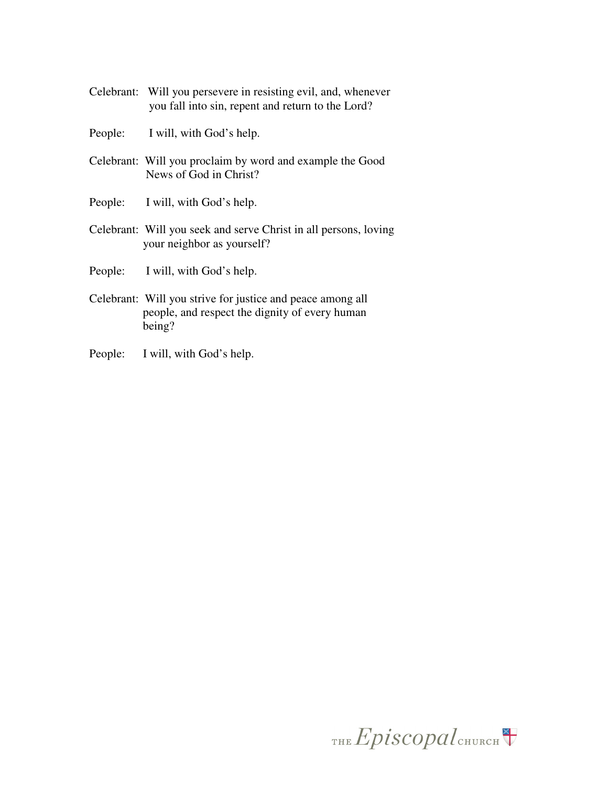| Celebrant: Will you persevere in resisting evil, and, whenever<br>you fall into sin, repent and return to the Lord?    |
|------------------------------------------------------------------------------------------------------------------------|
| People: I will, with God's help.                                                                                       |
| Celebrant: Will you proclaim by word and example the Good<br>News of God in Christ?                                    |
| People: I will, with God's help.                                                                                       |
| Celebrant: Will you seek and serve Christ in all persons, loving<br>your neighbor as yourself?                         |
| People: I will, with God's help.                                                                                       |
| Celebrant: Will you strive for justice and peace among all<br>people, and respect the dignity of every human<br>being? |

People: I will, with God's help.

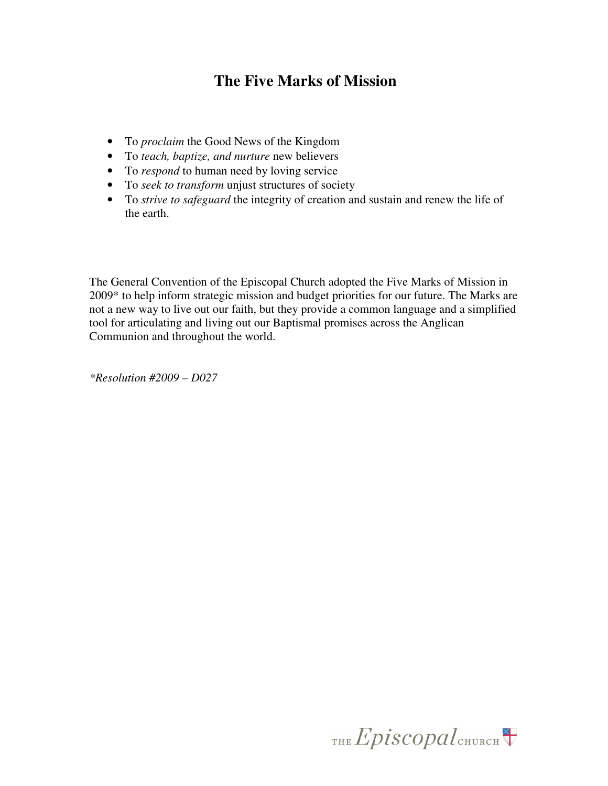## **The Five Marks of Mission**

- To *proclaim* the Good News of the Kingdom
- To *teach, baptize, and nurture* new believers
- To *respond* to human need by loving service
- To *seek to transform* unjust structures of society
- To *strive to safeguard* the integrity of creation and sustain and renew the life of the earth.

The General Convention of the Episcopal Church adopted the Five Marks of Mission in 2009\* to help inform strategic mission and budget priorities for our future. The Marks are not a new way to live out our faith, but they provide a common language and a simplified tool for articulating and living out our Baptismal promises across the Anglican Communion and throughout the world.

*\*Resolution #2009 – D027*

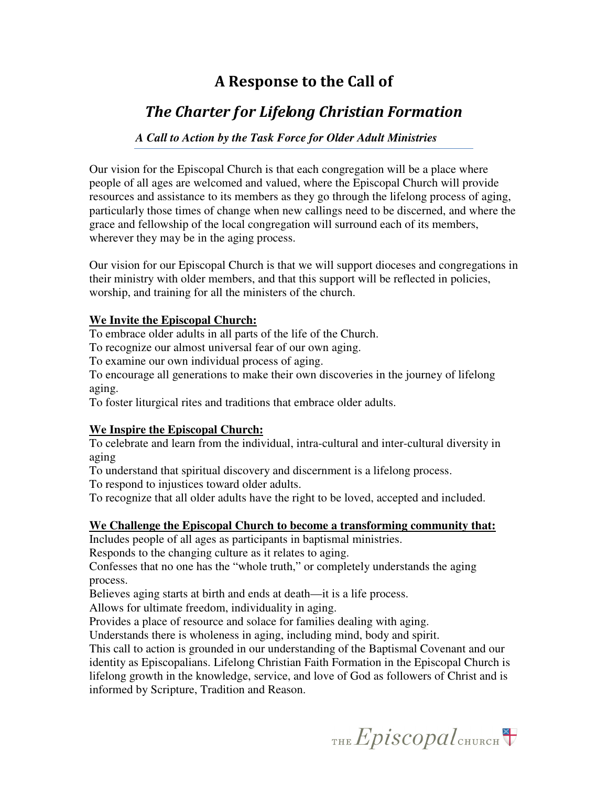## A Response to the Call of

## The Charter for Lifelong Christian Formation

### *A Call to Action by the Task Force for Older Adult Ministries*

Our vision for the Episcopal Church is that each congregation will be a place where people of all ages are welcomed and valued, where the Episcopal Church will provide resources and assistance to its members as they go through the lifelong process of aging, particularly those times of change when new callings need to be discerned, and where the grace and fellowship of the local congregation will surround each of its members, wherever they may be in the aging process.

Our vision for our Episcopal Church is that we will support dioceses and congregations in their ministry with older members, and that this support will be reflected in policies, worship, and training for all the ministers of the church.

#### **We Invite the Episcopal Church:**

To embrace older adults in all parts of the life of the Church.

To recognize our almost universal fear of our own aging.

To examine our own individual process of aging.

To encourage all generations to make their own discoveries in the journey of lifelong aging.

To foster liturgical rites and traditions that embrace older adults.

### **We Inspire the Episcopal Church:**

To celebrate and learn from the individual, intra-cultural and inter-cultural diversity in aging

To understand that spiritual discovery and discernment is a lifelong process.

To respond to injustices toward older adults.

To recognize that all older adults have the right to be loved, accepted and included.

### **We Challenge the Episcopal Church to become a transforming community that:**

Includes people of all ages as participants in baptismal ministries.

Responds to the changing culture as it relates to aging.

Confesses that no one has the "whole truth," or completely understands the aging process.

Believes aging starts at birth and ends at death—it is a life process.

Allows for ultimate freedom, individuality in aging.

Provides a place of resource and solace for families dealing with aging.

Understands there is wholeness in aging, including mind, body and spirit.

This call to action is grounded in our understanding of the Baptismal Covenant and our identity as Episcopalians. Lifelong Christian Faith Formation in the Episcopal Church is lifelong growth in the knowledge, service, and love of God as followers of Christ and is informed by Scripture, Tradition and Reason.

THE  $Epis copal$ <sub>CHURCH</sub>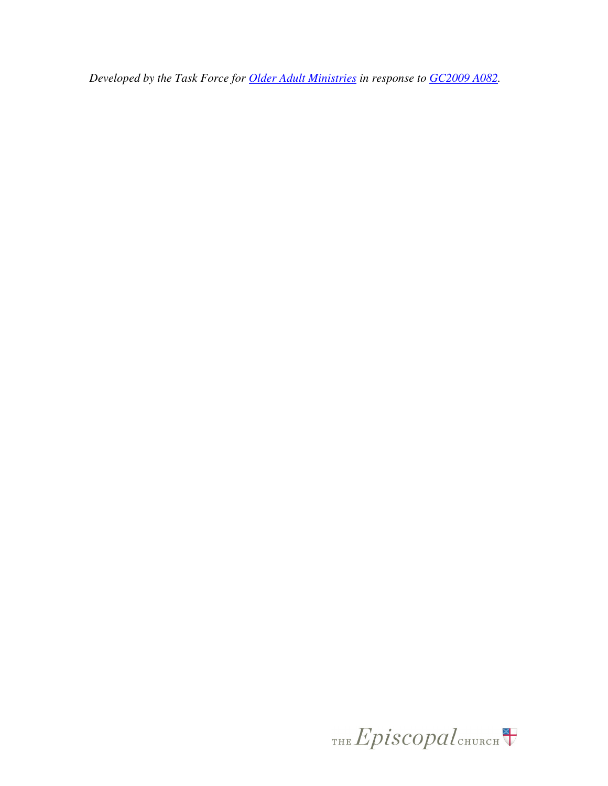*Developed by the Task Force for Older Adult Ministries in response to GC2009 A082.* 

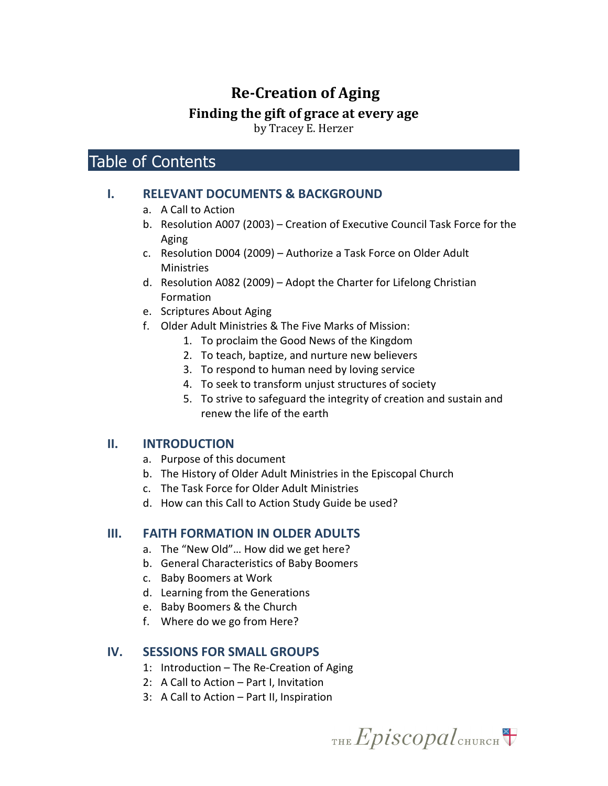## Re-Creation of Aging

### Finding the gift of grace at every age

by Tracey E. Herzer

## Table of Contents

### I. RELEVANT DOCUMENTS & BACKGROUND

- a. A Call to Action
- b. Resolution A007 (2003) Creation of Executive Council Task Force for the Aging
- c. Resolution D004 (2009) Authorize a Task Force on Older Adult Ministries
- d. Resolution A082 (2009) Adopt the Charter for Lifelong Christian Formation
- e. Scriptures About Aging
- f. Older Adult Ministries & The Five Marks of Mission:
	- 1. To proclaim the Good News of the Kingdom
	- 2. To teach, baptize, and nurture new believers
	- 3. To respond to human need by loving service
	- 4. To seek to transform unjust structures of society
	- 5. To strive to safeguard the integrity of creation and sustain and renew the life of the earth

### II. INTRODUCTION

- a. Purpose of this document
- b. The History of Older Adult Ministries in the Episcopal Church
- c. The Task Force for Older Adult Ministries
- d. How can this Call to Action Study Guide be used?

### III. FAITH FORMATION IN OLDER ADULTS

- a. The "New Old"… How did we get here?
- b. General Characteristics of Baby Boomers
- c. Baby Boomers at Work
- d. Learning from the Generations
- e. Baby Boomers & the Church
- f. Where do we go from Here?

### IV. SESSIONS FOR SMALL GROUPS

- 1: Introduction The Re-Creation of Aging
- 2: A Call to Action Part I, Invitation
- 3: A Call to Action Part II, Inspiration

THE  $Epis copal$ <sub>CHURCH</sub>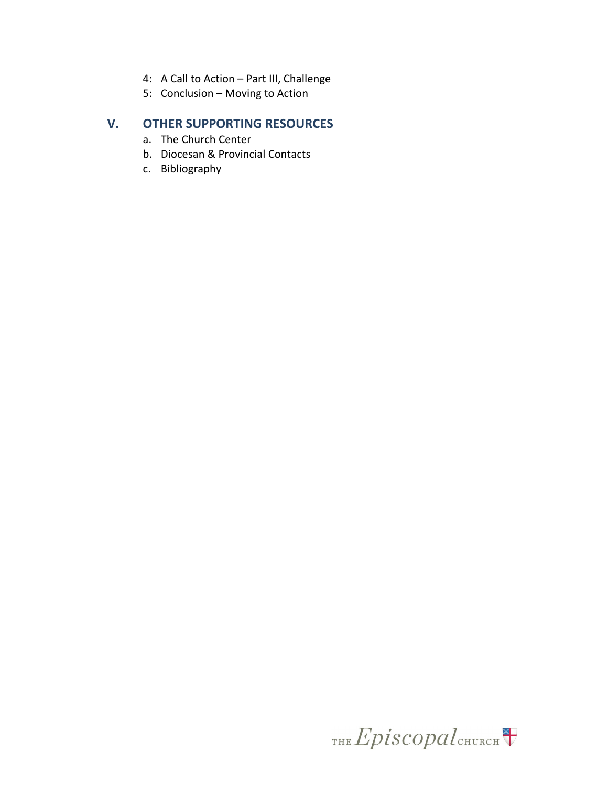- 4: A Call to Action Part III, Challenge
- 5: Conclusion Moving to Action

### V. OTHER SUPPORTING RESOURCES

- a. The Church Center
- b. Diocesan & Provincial Contacts
- c. Bibliography

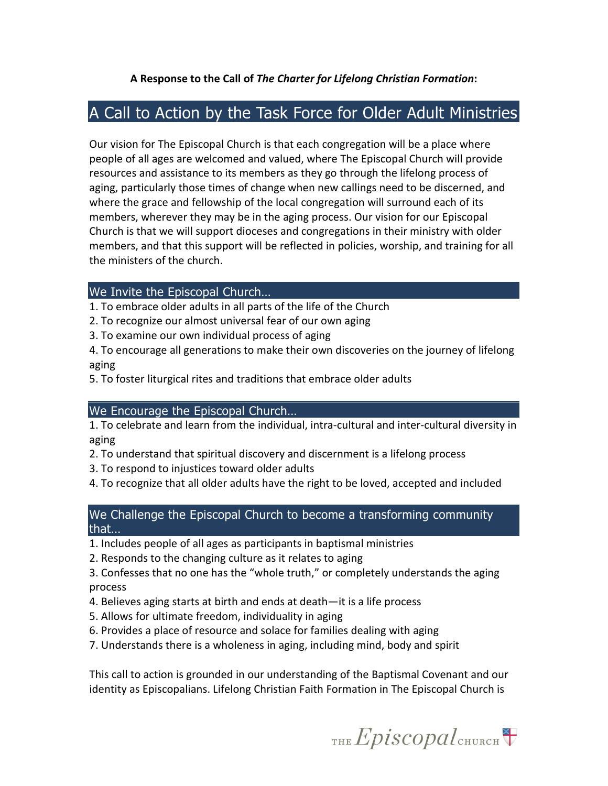#### A Response to the Call of The Charter for Lifelong Christian Formation:

## A Call to Action by the Task Force for Older Adult Ministries

Our vision for The Episcopal Church is that each congregation will be a place where people of all ages are welcomed and valued, where The Episcopal Church will provide resources and assistance to its members as they go through the lifelong process of aging, particularly those times of change when new callings need to be discerned, and where the grace and fellowship of the local congregation will surround each of its members, wherever they may be in the aging process. Our vision for our Episcopal Church is that we will support dioceses and congregations in their ministry with older members, and that this support will be reflected in policies, worship, and training for all the ministers of the church.

#### We Invite the Episcopal Church...

1. To embrace older adults in all parts of the life of the Church

- 2. To recognize our almost universal fear of our own aging
- 3. To examine our own individual process of aging

4. To encourage all generations to make their own discoveries on the journey of lifelong aging

5. To foster liturgical rites and traditions that embrace older adults

#### We Encourage the Episcopal Church…

1. To celebrate and learn from the individual, intra-cultural and inter-cultural diversity in aging

- 2. To understand that spiritual discovery and discernment is a lifelong process
- 3. To respond to injustices toward older adults

4. To recognize that all older adults have the right to be loved, accepted and included

#### We Challenge the Episcopal Church to become a transforming community that…

1. Includes people of all ages as participants in baptismal ministries

2. Responds to the changing culture as it relates to aging

3. Confesses that no one has the "whole truth," or completely understands the aging process

- 4. Believes aging starts at birth and ends at death—it is a life process
- 5. Allows for ultimate freedom, individuality in aging
- 6. Provides a place of resource and solace for families dealing with aging
- 7. Understands there is a wholeness in aging, including mind, body and spirit

This call to action is grounded in our understanding of the Baptismal Covenant and our identity as Episcopalians. Lifelong Christian Faith Formation in The Episcopal Church is

THE  $Epis copal$ <sub>CHURCH</sub>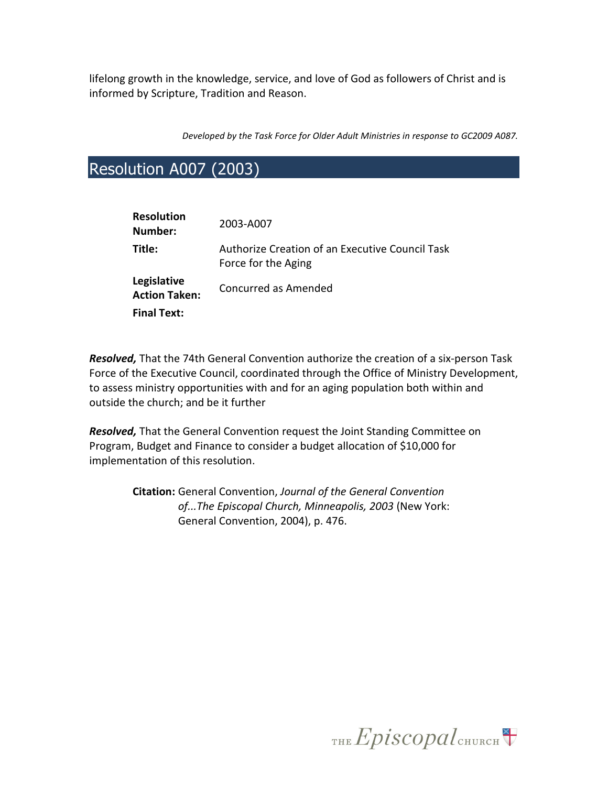lifelong growth in the knowledge, service, and love of God as followers of Christ and is informed by Scripture, Tradition and Reason.

Developed by the Task Force for Older Adult Ministries in response to GC2009 A087.

## Resolution A007 (2003)

| <b>Resolution</b><br>Number:        | 2003-A007                                                              |
|-------------------------------------|------------------------------------------------------------------------|
| Title:                              | Authorize Creation of an Executive Council Task<br>Force for the Aging |
| Legislative<br><b>Action Taken:</b> | Concurred as Amended                                                   |
| <b>Final Text:</b>                  |                                                                        |

Resolved, That the 74th General Convention authorize the creation of a six-person Task Force of the Executive Council, coordinated through the Office of Ministry Development, to assess ministry opportunities with and for an aging population both within and outside the church; and be it further

Resolved, That the General Convention request the Joint Standing Committee on Program, Budget and Finance to consider a budget allocation of \$10,000 for implementation of this resolution.

> Citation: General Convention, Journal of the General Convention of...The Episcopal Church, Minneapolis, 2003 (New York: General Convention, 2004), p. 476.

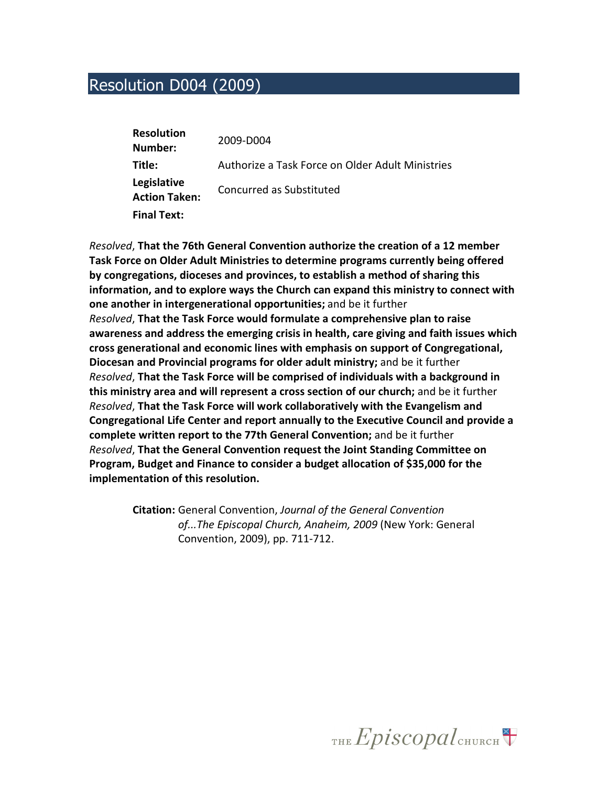## Resolution D004 (2009)

| <b>Resolution</b><br>Number:        | 2009-D004                                        |
|-------------------------------------|--------------------------------------------------|
| Title:                              | Authorize a Task Force on Older Adult Ministries |
| Legislative<br><b>Action Taken:</b> | Concurred as Substituted                         |
| <b>Final Text:</b>                  |                                                  |

Resolved, That the 76th General Convention authorize the creation of a 12 member Task Force on Older Adult Ministries to determine programs currently being offered by congregations, dioceses and provinces, to establish a method of sharing this information, and to explore ways the Church can expand this ministry to connect with one another in intergenerational opportunities; and be it further Resolved, That the Task Force would formulate a comprehensive plan to raise awareness and address the emerging crisis in health, care giving and faith issues which cross generational and economic lines with emphasis on support of Congregational, Diocesan and Provincial programs for older adult ministry; and be it further Resolved, That the Task Force will be comprised of individuals with a background in this ministry area and will represent a cross section of our church; and be it further Resolved, That the Task Force will work collaboratively with the Evangelism and Congregational Life Center and report annually to the Executive Council and provide a complete written report to the 77th General Convention; and be it further Resolved, That the General Convention request the Joint Standing Committee on Program, Budget and Finance to consider a budget allocation of \$35,000 for the implementation of this resolution.

Citation: General Convention, Journal of the General Convention of...The Episcopal Church, Anaheim, 2009 (New York: General Convention, 2009), pp. 711-712.

THE Episcopal CHURCH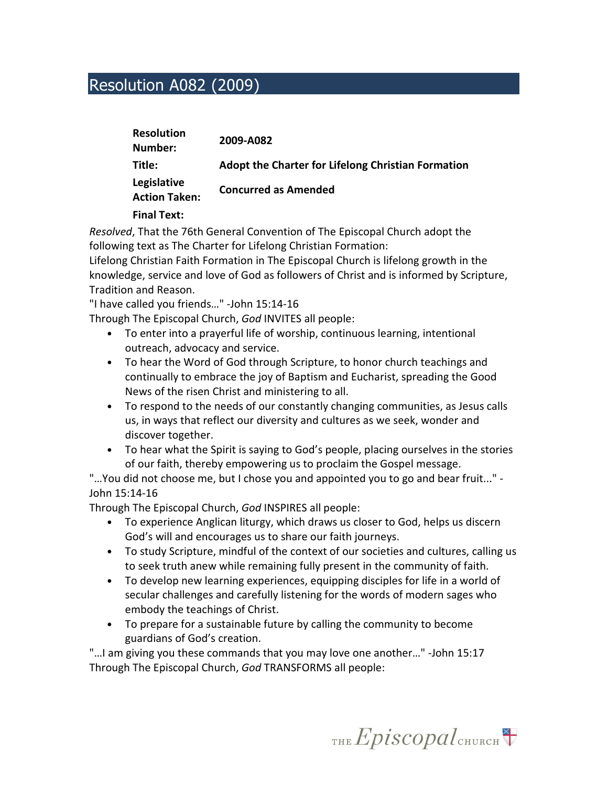## Resolution A082 (2009)

| <b>Resolution</b><br>Number:        | 2009-A082                                          |
|-------------------------------------|----------------------------------------------------|
| Title:                              | Adopt the Charter for Lifelong Christian Formation |
| Legislative<br><b>Action Taken:</b> | <b>Concurred as Amended</b>                        |
|                                     |                                                    |

Final Text:

Resolved, That the 76th General Convention of The Episcopal Church adopt the following text as The Charter for Lifelong Christian Formation:

Lifelong Christian Faith Formation in The Episcopal Church is lifelong growth in the knowledge, service and love of God as followers of Christ and is informed by Scripture, Tradition and Reason.

"I have called you friends…" -John 15:14-16

Through The Episcopal Church, God INVITES all people:

- To enter into a prayerful life of worship, continuous learning, intentional outreach, advocacy and service.
- To hear the Word of God through Scripture, to honor church teachings and continually to embrace the joy of Baptism and Eucharist, spreading the Good News of the risen Christ and ministering to all.
- To respond to the needs of our constantly changing communities, as Jesus calls us, in ways that reflect our diversity and cultures as we seek, wonder and discover together.
- To hear what the Spirit is saying to God's people, placing ourselves in the stories of our faith, thereby empowering us to proclaim the Gospel message.

"…You did not choose me, but I chose you and appointed you to go and bear fruit..." - John 15:14-16

Through The Episcopal Church, God INSPIRES all people:

- To experience Anglican liturgy, which draws us closer to God, helps us discern God's will and encourages us to share our faith journeys.
- To study Scripture, mindful of the context of our societies and cultures, calling us to seek truth anew while remaining fully present in the community of faith.
- To develop new learning experiences, equipping disciples for life in a world of secular challenges and carefully listening for the words of modern sages who embody the teachings of Christ.
- To prepare for a sustainable future by calling the community to become guardians of God's creation.

"…I am giving you these commands that you may love one another…" -John 15:17 Through The Episcopal Church, God TRANSFORMS all people:

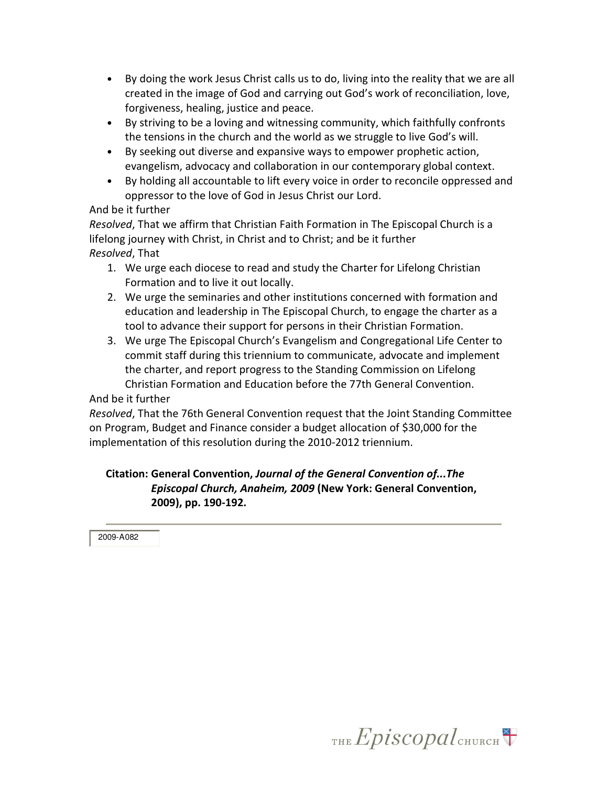- By doing the work Jesus Christ calls us to do, living into the reality that we are all created in the image of God and carrying out God's work of reconciliation, love, forgiveness, healing, justice and peace.
- By striving to be a loving and witnessing community, which faithfully confronts the tensions in the church and the world as we struggle to live God's will.
- By seeking out diverse and expansive ways to empower prophetic action, evangelism, advocacy and collaboration in our contemporary global context.
- By holding all accountable to lift every voice in order to reconcile oppressed and oppressor to the love of God in Jesus Christ our Lord.

### And be it further

Resolved, That we affirm that Christian Faith Formation in The Episcopal Church is a lifelong journey with Christ, in Christ and to Christ; and be it further Resolved, That

- 1. We urge each diocese to read and study the Charter for Lifelong Christian Formation and to live it out locally.
- 2. We urge the seminaries and other institutions concerned with formation and education and leadership in The Episcopal Church, to engage the charter as a tool to advance their support for persons in their Christian Formation.
- 3. We urge The Episcopal Church's Evangelism and Congregational Life Center to commit staff during this triennium to communicate, advocate and implement the charter, and report progress to the Standing Commission on Lifelong Christian Formation and Education before the 77th General Convention.

### And be it further

Resolved, That the 76th General Convention request that the Joint Standing Committee on Program, Budget and Finance consider a budget allocation of \$30,000 for the implementation of this resolution during the 2010-2012 triennium.

### Citation: General Convention, Journal of the General Convention of...The Episcopal Church, Anaheim, 2009 (New York: General Convention, 2009), pp. 190-192.

2009-A082

THE  $Episcopal$ <sub>CHURCH</sub>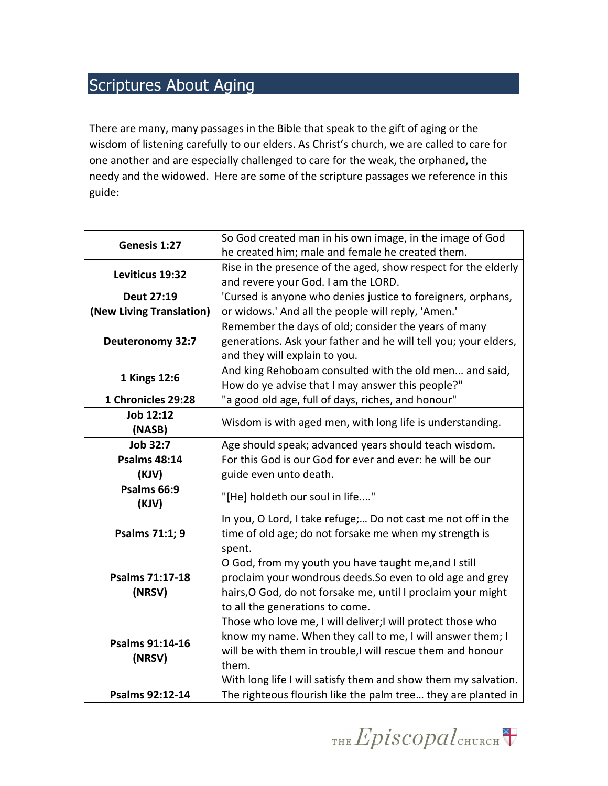# Scriptures About Aging

There are many, many passages in the Bible that speak to the gift of aging or the wisdom of listening carefully to our elders. As Christ's church, we are called to care for one another and are especially challenged to care for the weak, the orphaned, the needy and the widowed. Here are some of the scripture passages we reference in this guide:

| Genesis 1:27             | So God created man in his own image, in the image of God        |
|--------------------------|-----------------------------------------------------------------|
|                          | he created him; male and female he created them.                |
| Leviticus 19:32          | Rise in the presence of the aged, show respect for the elderly  |
|                          | and revere your God. I am the LORD.                             |
| Deut 27:19               | 'Cursed is anyone who denies justice to foreigners, orphans,    |
| (New Living Translation) | or widows.' And all the people will reply, 'Amen.'              |
|                          | Remember the days of old; consider the years of many            |
| <b>Deuteronomy 32:7</b>  | generations. Ask your father and he will tell you; your elders, |
|                          | and they will explain to you.                                   |
|                          | And king Rehoboam consulted with the old men and said,          |
| 1 Kings 12:6             | How do ye advise that I may answer this people?"                |
| 1 Chronicles 29:28       | "a good old age, full of days, riches, and honour"              |
| Job 12:12                | Wisdom is with aged men, with long life is understanding.       |
| (NASB)                   |                                                                 |
| Job 32:7                 | Age should speak; advanced years should teach wisdom.           |
| <b>Psalms 48:14</b>      | For this God is our God for ever and ever: he will be our       |
| (KJV)                    | guide even unto death.                                          |
| Psalms 66:9              | "[He] holdeth our soul in life"                                 |
| (KJV)                    |                                                                 |
|                          | In you, O Lord, I take refuge; Do not cast me not off in the    |
| Psalms 71:1; 9           | time of old age; do not forsake me when my strength is          |
|                          | spent.                                                          |
|                          | O God, from my youth you have taught me, and I still            |
| Psalms 71:17-18          | proclaim your wondrous deeds. So even to old age and grey       |
| (NRSV)                   | hairs, O God, do not forsake me, until I proclaim your might    |
|                          | to all the generations to come.                                 |
|                          | Those who love me, I will deliver;I will protect those who      |
| Psalms 91:14-16          | know my name. When they call to me, I will answer them; I       |
| (NRSV)                   | will be with them in trouble, I will rescue them and honour     |
|                          | them.                                                           |
|                          | With long life I will satisfy them and show them my salvation.  |
| Psalms 92:12-14          | The righteous flourish like the palm tree they are planted in   |

THE Episcopal CHURCH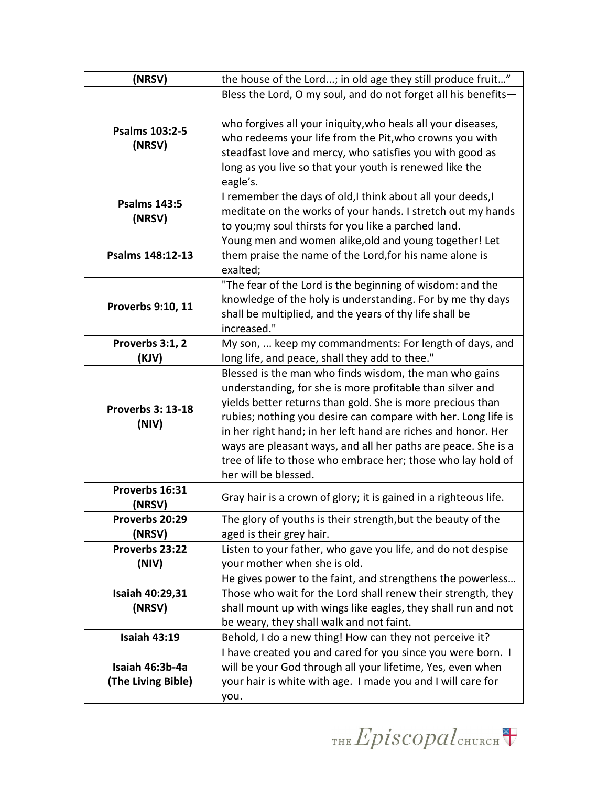| (NRSV)                                | the house of the Lord; in old age they still produce fruit"                                                                                                                                                                                                                                                                                                                                                                                                                  |
|---------------------------------------|------------------------------------------------------------------------------------------------------------------------------------------------------------------------------------------------------------------------------------------------------------------------------------------------------------------------------------------------------------------------------------------------------------------------------------------------------------------------------|
|                                       | Bless the Lord, O my soul, and do not forget all his benefits-                                                                                                                                                                                                                                                                                                                                                                                                               |
| Psalms 103:2-5<br>(NRSV)              | who forgives all your iniquity, who heals all your diseases,<br>who redeems your life from the Pit, who crowns you with<br>steadfast love and mercy, who satisfies you with good as<br>long as you live so that your youth is renewed like the<br>eagle's.                                                                                                                                                                                                                   |
| <b>Psalms 143:5</b><br>(NRSV)         | I remember the days of old, I think about all your deeds, I<br>meditate on the works of your hands. I stretch out my hands<br>to you; my soul thirsts for you like a parched land.                                                                                                                                                                                                                                                                                           |
| Psalms 148:12-13                      | Young men and women alike, old and young together! Let<br>them praise the name of the Lord, for his name alone is<br>exalted;                                                                                                                                                                                                                                                                                                                                                |
| Proverbs 9:10, 11                     | "The fear of the Lord is the beginning of wisdom: and the<br>knowledge of the holy is understanding. For by me thy days<br>shall be multiplied, and the years of thy life shall be<br>increased."                                                                                                                                                                                                                                                                            |
| Proverbs 3:1, 2<br>(KJV)              | My son,  keep my commandments: For length of days, and<br>long life, and peace, shall they add to thee."                                                                                                                                                                                                                                                                                                                                                                     |
| Proverbs 3: 13-18<br>(NIV)            | Blessed is the man who finds wisdom, the man who gains<br>understanding, for she is more profitable than silver and<br>yields better returns than gold. She is more precious than<br>rubies; nothing you desire can compare with her. Long life is<br>in her right hand; in her left hand are riches and honor. Her<br>ways are pleasant ways, and all her paths are peace. She is a<br>tree of life to those who embrace her; those who lay hold of<br>her will be blessed. |
| Proverbs 16:31<br>(NRSV)              | Gray hair is a crown of glory; it is gained in a righteous life.                                                                                                                                                                                                                                                                                                                                                                                                             |
| Proverbs 20:29<br>(NRSV)              | The glory of youths is their strength, but the beauty of the<br>aged is their grey hair.                                                                                                                                                                                                                                                                                                                                                                                     |
| Proverbs 23:22<br>(NIV)               | Listen to your father, who gave you life, and do not despise<br>your mother when she is old.                                                                                                                                                                                                                                                                                                                                                                                 |
| Isaiah 40:29,31<br>(NRSV)             | He gives power to the faint, and strengthens the powerless<br>Those who wait for the Lord shall renew their strength, they<br>shall mount up with wings like eagles, they shall run and not<br>be weary, they shall walk and not faint.                                                                                                                                                                                                                                      |
| <b>Isaiah 43:19</b>                   | Behold, I do a new thing! How can they not perceive it?                                                                                                                                                                                                                                                                                                                                                                                                                      |
| Isaiah 46:3b-4a<br>(The Living Bible) | I have created you and cared for you since you were born. I<br>will be your God through all your lifetime, Yes, even when<br>your hair is white with age. I made you and I will care for<br>you.                                                                                                                                                                                                                                                                             |

THE Episcopal CHURCH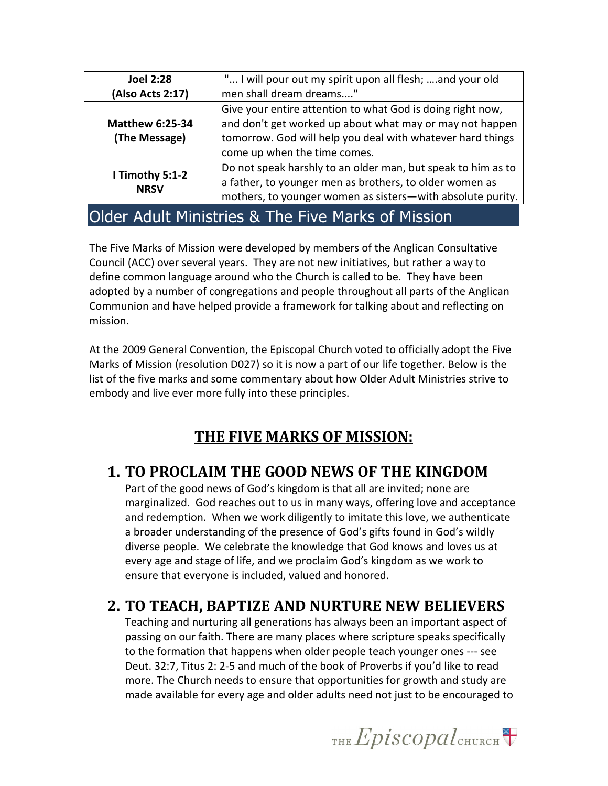| <b>Joel 2:28</b>       | " I will pour out my spirit upon all flesh; and your old     |
|------------------------|--------------------------------------------------------------|
| (Also Acts 2:17)       | men shall dream dreams"                                      |
|                        | Give your entire attention to what God is doing right now,   |
| <b>Matthew 6:25-34</b> | and don't get worked up about what may or may not happen     |
| (The Message)          | tomorrow. God will help you deal with whatever hard things   |
|                        | come up when the time comes.                                 |
| I Timothy 5:1-2        | Do not speak harshly to an older man, but speak to him as to |
| <b>NRSV</b>            | a father, to younger men as brothers, to older women as      |
|                        | mothers, to younger women as sisters-with absolute purity.   |
|                        |                                                              |

## Older Adult Ministries & The Five Marks of Mission

The Five Marks of Mission were developed by members of the Anglican Consultative Council (ACC) over several years. They are not new initiatives, but rather a way to define common language around who the Church is called to be. They have been adopted by a number of congregations and people throughout all parts of the Anglican Communion and have helped provide a framework for talking about and reflecting on mission.

At the 2009 General Convention, the Episcopal Church voted to officially adopt the Five Marks of Mission (resolution D027) so it is now a part of our life together. Below is the list of the five marks and some commentary about how Older Adult Ministries strive to embody and live ever more fully into these principles.

## THE FIVE MARKS OF MISSION:

## 1. TO PROCLAIM THE GOOD NEWS OF THE KINGDOM

Part of the good news of God's kingdom is that all are invited; none are marginalized. God reaches out to us in many ways, offering love and acceptance and redemption. When we work diligently to imitate this love, we authenticate a broader understanding of the presence of God's gifts found in God's wildly diverse people. We celebrate the knowledge that God knows and loves us at every age and stage of life, and we proclaim God's kingdom as we work to ensure that everyone is included, valued and honored.

## 2. TO TEACH, BAPTIZE AND NURTURE NEW BELIEVERS

Teaching and nurturing all generations has always been an important aspect of passing on our faith. There are many places where scripture speaks specifically to the formation that happens when older people teach younger ones --- see Deut. 32:7, Titus 2: 2-5 and much of the book of Proverbs if you'd like to read more. The Church needs to ensure that opportunities for growth and study are made available for every age and older adults need not just to be encouraged to

THE  $Epis copal$ <sub>CHURCH</sub>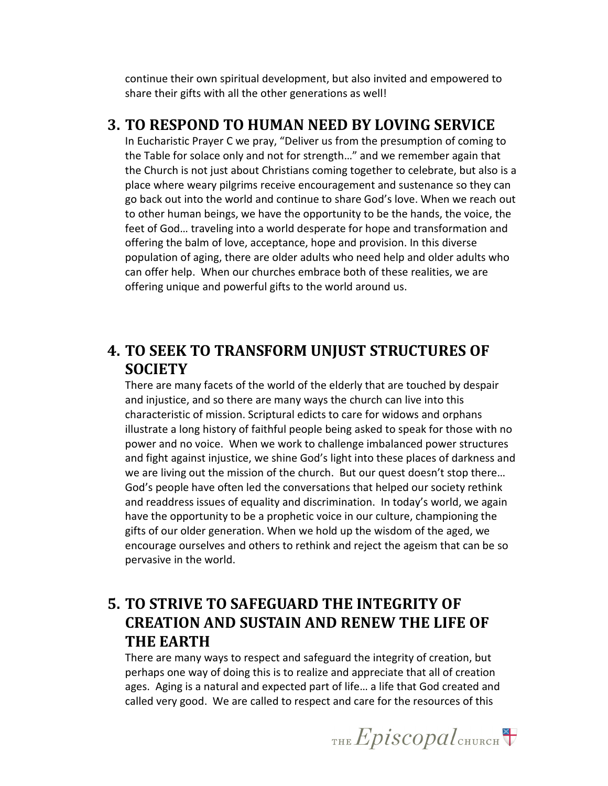continue their own spiritual development, but also invited and empowered to share their gifts with all the other generations as well!

### 3. TO RESPOND TO HUMAN NEED BY LOVING SERVICE

In Eucharistic Prayer C we pray, "Deliver us from the presumption of coming to the Table for solace only and not for strength…" and we remember again that the Church is not just about Christians coming together to celebrate, but also is a place where weary pilgrims receive encouragement and sustenance so they can go back out into the world and continue to share God's love. When we reach out to other human beings, we have the opportunity to be the hands, the voice, the feet of God… traveling into a world desperate for hope and transformation and offering the balm of love, acceptance, hope and provision. In this diverse population of aging, there are older adults who need help and older adults who can offer help. When our churches embrace both of these realities, we are offering unique and powerful gifts to the world around us.

## 4. TO SEEK TO TRANSFORM UNJUST STRUCTURES OF **SOCIETY**

There are many facets of the world of the elderly that are touched by despair and injustice, and so there are many ways the church can live into this characteristic of mission. Scriptural edicts to care for widows and orphans illustrate a long history of faithful people being asked to speak for those with no power and no voice. When we work to challenge imbalanced power structures and fight against injustice, we shine God's light into these places of darkness and we are living out the mission of the church. But our quest doesn't stop there… God's people have often led the conversations that helped our society rethink and readdress issues of equality and discrimination. In today's world, we again have the opportunity to be a prophetic voice in our culture, championing the gifts of our older generation. When we hold up the wisdom of the aged, we encourage ourselves and others to rethink and reject the ageism that can be so pervasive in the world.

## 5. TO STRIVE TO SAFEGUARD THE INTEGRITY OF CREATION AND SUSTAIN AND RENEW THE LIFE OF THE EARTH

There are many ways to respect and safeguard the integrity of creation, but perhaps one way of doing this is to realize and appreciate that all of creation ages. Aging is a natural and expected part of life… a life that God created and called very good. We are called to respect and care for the resources of this

THE  $Epis copal$ <sub>CHURCH</sub>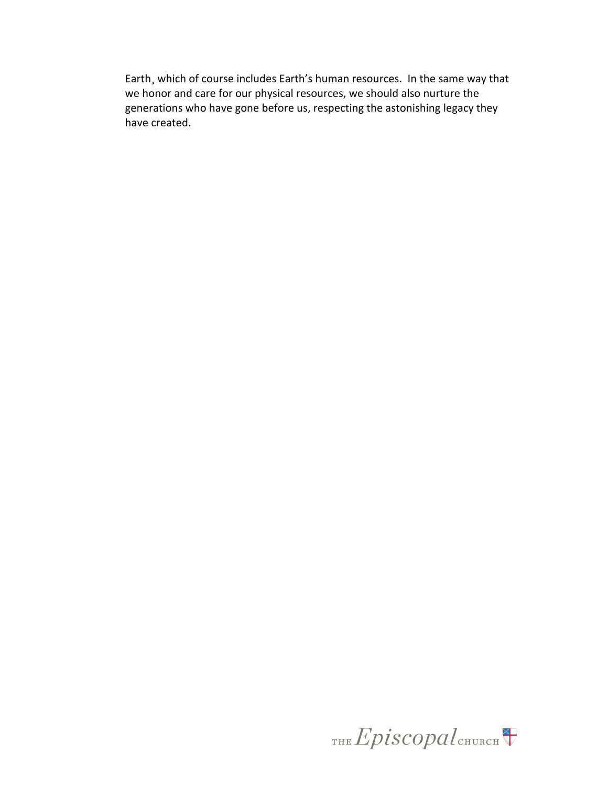Earth¸ which of course includes Earth's human resources. In the same way that we honor and care for our physical resources, we should also nurture the generations who have gone before us, respecting the astonishing legacy they have created.

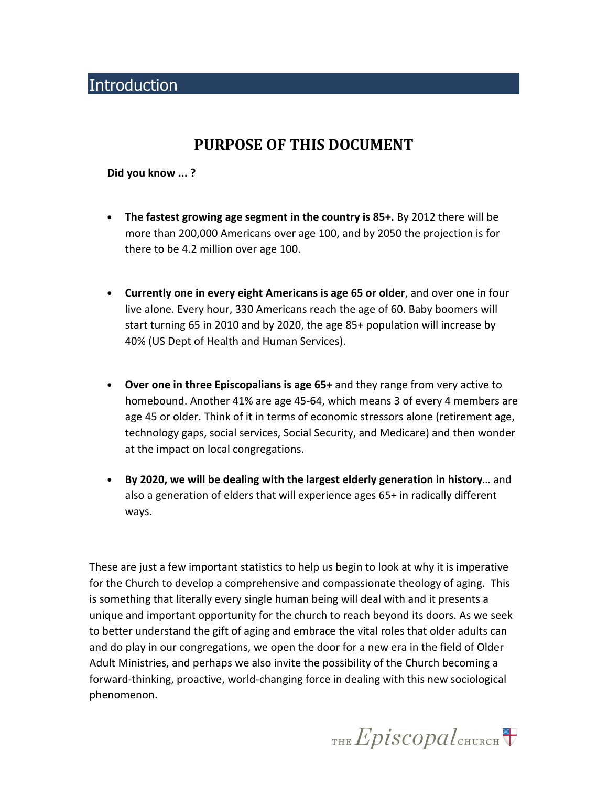## **Introduction**

## PURPOSE OF THIS DOCUMENT

Did you know ... ?

- The fastest growing age segment in the country is 85+. By 2012 there will be more than 200,000 Americans over age 100, and by 2050 the projection is for there to be 4.2 million over age 100.
- Currently one in every eight Americans is age 65 or older, and over one in four live alone. Every hour, 330 Americans reach the age of 60. Baby boomers will start turning 65 in 2010 and by 2020, the age 85+ population will increase by 40% (US Dept of Health and Human Services).
- Over one in three Episcopalians is age 65+ and they range from very active to homebound. Another 41% are age 45-64, which means 3 of every 4 members are age 45 or older. Think of it in terms of economic stressors alone (retirement age, technology gaps, social services, Social Security, and Medicare) and then wonder at the impact on local congregations.
- By 2020, we will be dealing with the largest elderly generation in history… and also a generation of elders that will experience ages 65+ in radically different ways.

These are just a few important statistics to help us begin to look at why it is imperative for the Church to develop a comprehensive and compassionate theology of aging. This is something that literally every single human being will deal with and it presents a unique and important opportunity for the church to reach beyond its doors. As we seek to better understand the gift of aging and embrace the vital roles that older adults can and do play in our congregations, we open the door for a new era in the field of Older Adult Ministries, and perhaps we also invite the possibility of the Church becoming a forward-thinking, proactive, world-changing force in dealing with this new sociological phenomenon.

THE  $Episcopal$ <sub>CHURCH</sub>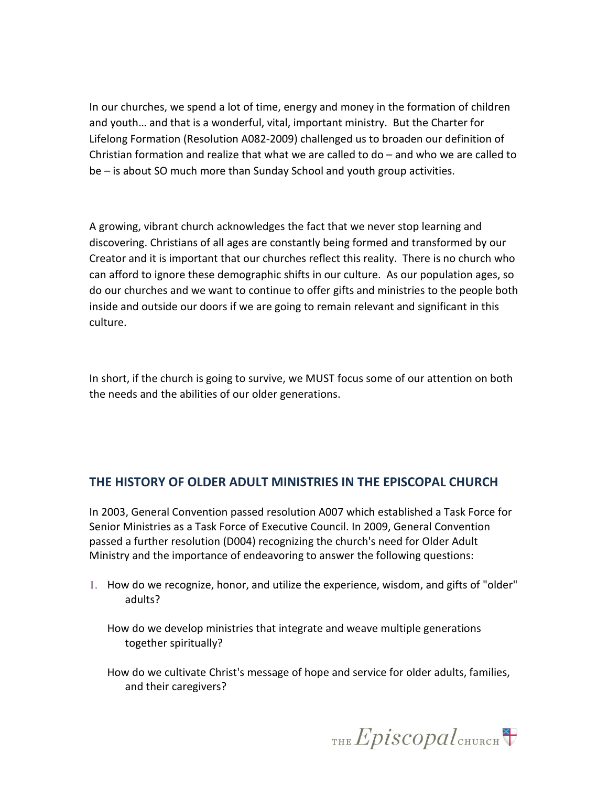In our churches, we spend a lot of time, energy and money in the formation of children and youth… and that is a wonderful, vital, important ministry. But the Charter for Lifelong Formation (Resolution A082-2009) challenged us to broaden our definition of Christian formation and realize that what we are called to do – and who we are called to be – is about SO much more than Sunday School and youth group activities.

A growing, vibrant church acknowledges the fact that we never stop learning and discovering. Christians of all ages are constantly being formed and transformed by our Creator and it is important that our churches reflect this reality. There is no church who can afford to ignore these demographic shifts in our culture. As our population ages, so do our churches and we want to continue to offer gifts and ministries to the people both inside and outside our doors if we are going to remain relevant and significant in this culture.

In short, if the church is going to survive, we MUST focus some of our attention on both the needs and the abilities of our older generations.

### THE HISTORY OF OLDER ADULT MINISTRIES IN THE EPISCOPAL CHURCH

In 2003, General Convention passed resolution A007 which established a Task Force for Senior Ministries as a Task Force of Executive Council. In 2009, General Convention passed a further resolution (D004) recognizing the church's need for Older Adult Ministry and the importance of endeavoring to answer the following questions:

1. How do we recognize, honor, and utilize the experience, wisdom, and gifts of "older" adults?

How do we develop ministries that integrate and weave multiple generations together spiritually?

How do we cultivate Christ's message of hope and service for older adults, families, and their caregivers?

THE  $Episcopal$ <sub>CHURCH</sub>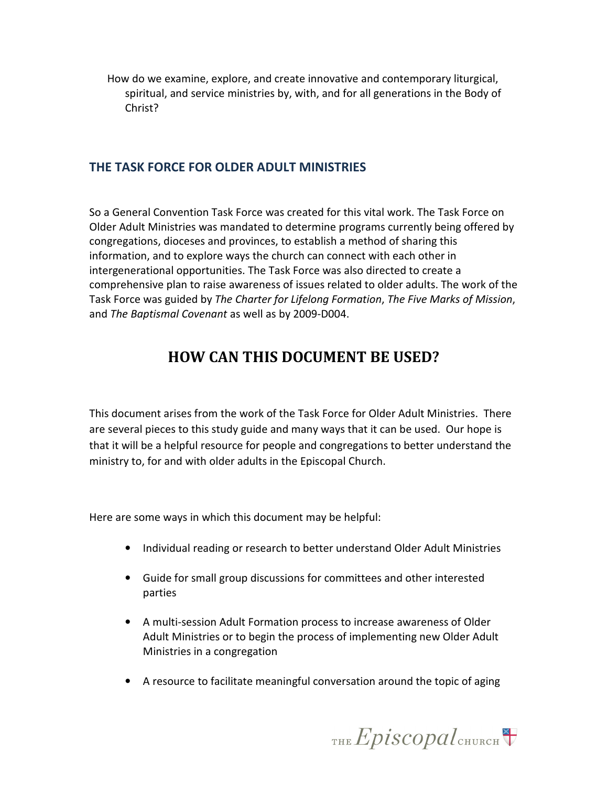How do we examine, explore, and create innovative and contemporary liturgical, spiritual, and service ministries by, with, and for all generations in the Body of Christ?

### THE TASK FORCE FOR OLDER ADULT MINISTRIES

So a General Convention Task Force was created for this vital work. The Task Force on Older Adult Ministries was mandated to determine programs currently being offered by congregations, dioceses and provinces, to establish a method of sharing this information, and to explore ways the church can connect with each other in intergenerational opportunities. The Task Force was also directed to create a comprehensive plan to raise awareness of issues related to older adults. The work of the Task Force was guided by The Charter for Lifelong Formation, The Five Marks of Mission, and The Baptismal Covenant as well as by 2009-D004.

## HOW CAN THIS DOCUMENT BE USED?

This document arises from the work of the Task Force for Older Adult Ministries. There are several pieces to this study guide and many ways that it can be used. Our hope is that it will be a helpful resource for people and congregations to better understand the ministry to, for and with older adults in the Episcopal Church.

Here are some ways in which this document may be helpful:

- Individual reading or research to better understand Older Adult Ministries
- Guide for small group discussions for committees and other interested parties
- A multi-session Adult Formation process to increase awareness of Older Adult Ministries or to begin the process of implementing new Older Adult Ministries in a congregation
- A resource to facilitate meaningful conversation around the topic of aging

THE  $Epis copal$ <sub>CHURCH</sub>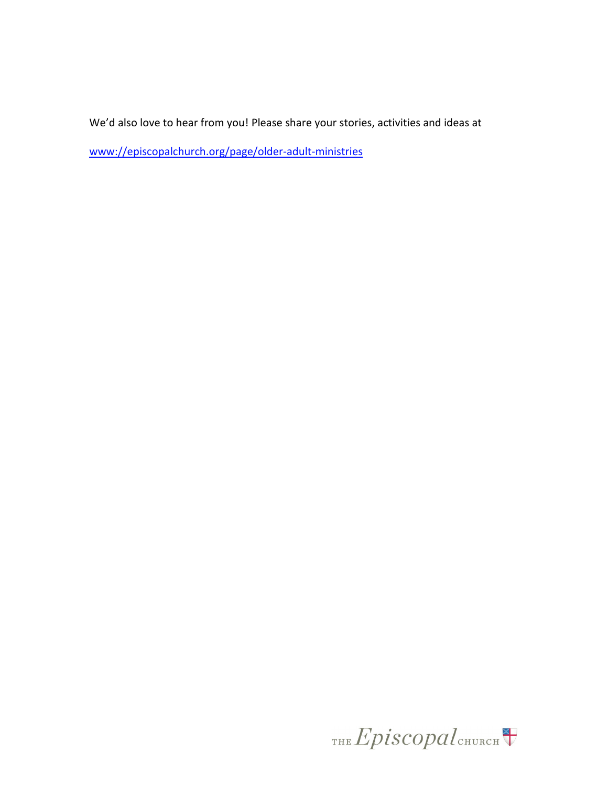We'd also love to hear from you! Please share your stories, activities and ideas at

www://episcopalchurch.org/page/older-adult-ministries

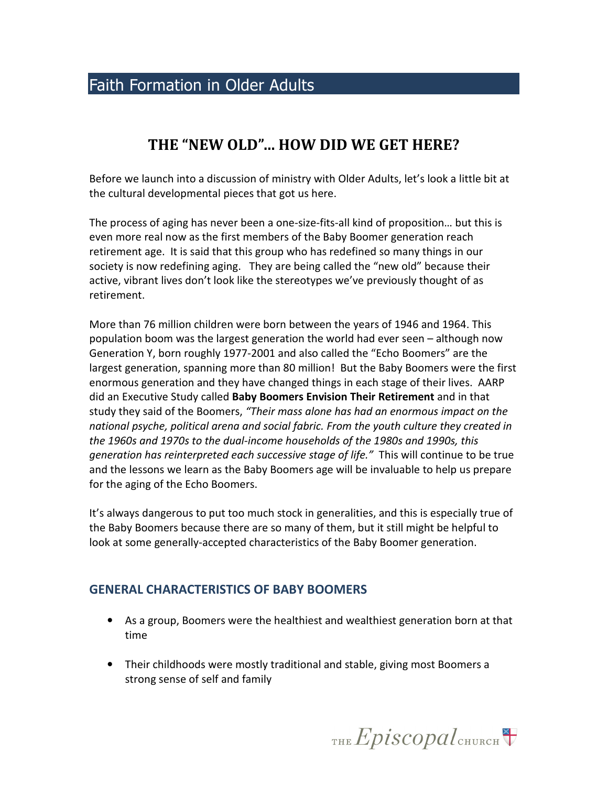## Faith Formation in Older Adults

## THE "NEW OLD"… HOW DID WE GET HERE?

Before we launch into a discussion of ministry with Older Adults, let's look a little bit at the cultural developmental pieces that got us here.

The process of aging has never been a one-size-fits-all kind of proposition… but this is even more real now as the first members of the Baby Boomer generation reach retirement age. It is said that this group who has redefined so many things in our society is now redefining aging. They are being called the "new old" because their active, vibrant lives don't look like the stereotypes we've previously thought of as retirement.

More than 76 million children were born between the years of 1946 and 1964. This population boom was the largest generation the world had ever seen – although now Generation Y, born roughly 1977-2001 and also called the "Echo Boomers" are the largest generation, spanning more than 80 million! But the Baby Boomers were the first enormous generation and they have changed things in each stage of their lives. AARP did an Executive Study called Baby Boomers Envision Their Retirement and in that study they said of the Boomers, "Their mass alone has had an enormous impact on the national psyche, political arena and social fabric. From the youth culture they created in the 1960s and 1970s to the dual-income households of the 1980s and 1990s, this generation has reinterpreted each successive stage of life." This will continue to be true and the lessons we learn as the Baby Boomers age will be invaluable to help us prepare for the aging of the Echo Boomers.

It's always dangerous to put too much stock in generalities, and this is especially true of the Baby Boomers because there are so many of them, but it still might be helpful to look at some generally-accepted characteristics of the Baby Boomer generation.

### GENERAL CHARACTERISTICS OF BABY BOOMERS

- As a group, Boomers were the healthiest and wealthiest generation born at that time
- Their childhoods were mostly traditional and stable, giving most Boomers a strong sense of self and family

THE  $Epis copal$ <sub>CHURCH</sub>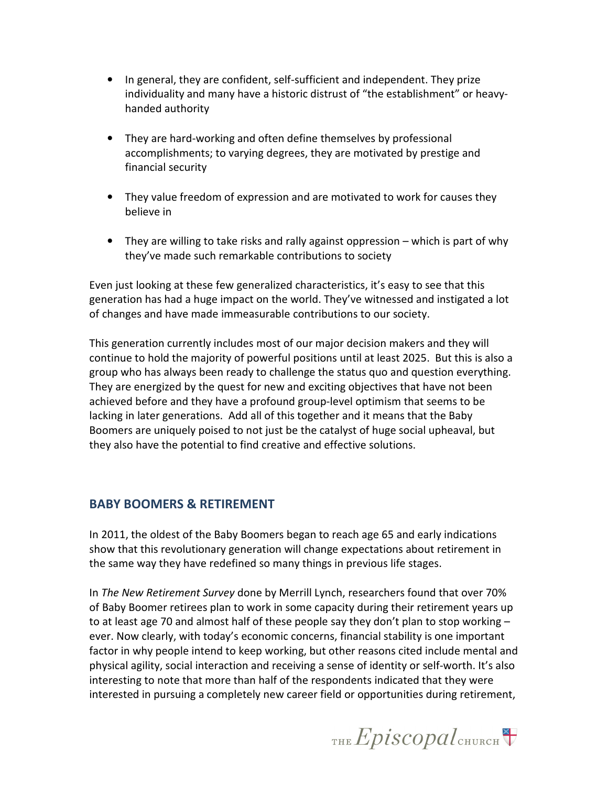- In general, they are confident, self-sufficient and independent. They prize individuality and many have a historic distrust of "the establishment" or heavyhanded authority
- They are hard-working and often define themselves by professional accomplishments; to varying degrees, they are motivated by prestige and financial security
- They value freedom of expression and are motivated to work for causes they believe in
- They are willing to take risks and rally against oppression which is part of why they've made such remarkable contributions to society

Even just looking at these few generalized characteristics, it's easy to see that this generation has had a huge impact on the world. They've witnessed and instigated a lot of changes and have made immeasurable contributions to our society.

This generation currently includes most of our major decision makers and they will continue to hold the majority of powerful positions until at least 2025. But this is also a group who has always been ready to challenge the status quo and question everything. They are energized by the quest for new and exciting objectives that have not been achieved before and they have a profound group-level optimism that seems to be lacking in later generations. Add all of this together and it means that the Baby Boomers are uniquely poised to not just be the catalyst of huge social upheaval, but they also have the potential to find creative and effective solutions.

### BABY BOOMERS & RETIREMENT

In 2011, the oldest of the Baby Boomers began to reach age 65 and early indications show that this revolutionary generation will change expectations about retirement in the same way they have redefined so many things in previous life stages.

In The New Retirement Survey done by Merrill Lynch, researchers found that over 70% of Baby Boomer retirees plan to work in some capacity during their retirement years up to at least age 70 and almost half of these people say they don't plan to stop working – ever. Now clearly, with today's economic concerns, financial stability is one important factor in why people intend to keep working, but other reasons cited include mental and physical agility, social interaction and receiving a sense of identity or self-worth. It's also interesting to note that more than half of the respondents indicated that they were interested in pursuing a completely new career field or opportunities during retirement,

THE  $Epis copal$ <sub>CHURCH</sub>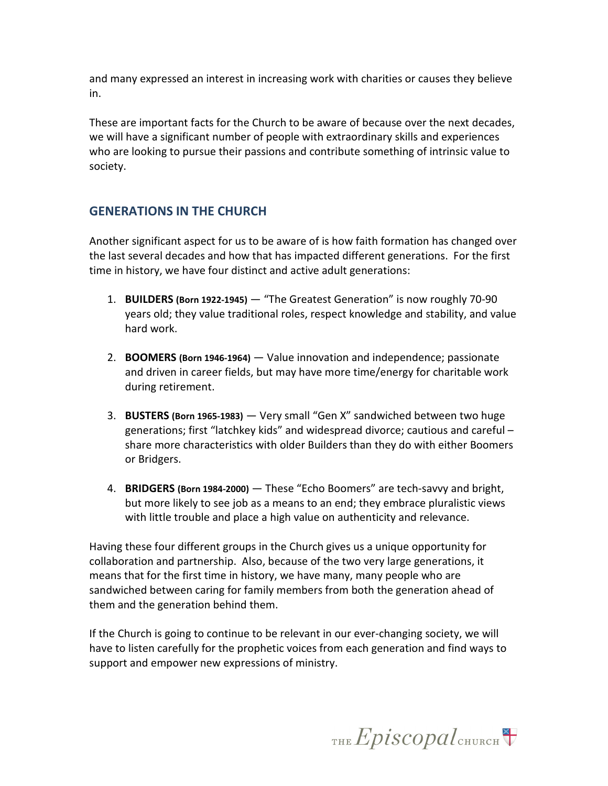and many expressed an interest in increasing work with charities or causes they believe in.

These are important facts for the Church to be aware of because over the next decades, we will have a significant number of people with extraordinary skills and experiences who are looking to pursue their passions and contribute something of intrinsic value to society.

### GENERATIONS IN THE CHURCH

Another significant aspect for us to be aware of is how faith formation has changed over the last several decades and how that has impacted different generations. For the first time in history, we have four distinct and active adult generations:

- 1. BUILDERS (Born 1922-1945) "The Greatest Generation" is now roughly 70-90 years old; they value traditional roles, respect knowledge and stability, and value hard work.
- 2. BOOMERS (Born 1946-1964) Value innovation and independence; passionate and driven in career fields, but may have more time/energy for charitable work during retirement.
- 3. BUSTERS (Born 1965-1983) Very small "Gen X" sandwiched between two huge generations; first "latchkey kids" and widespread divorce; cautious and careful – share more characteristics with older Builders than they do with either Boomers or Bridgers.
- 4. BRIDGERS (Born 1984-2000) These "Echo Boomers" are tech-savvy and bright, but more likely to see job as a means to an end; they embrace pluralistic views with little trouble and place a high value on authenticity and relevance.

Having these four different groups in the Church gives us a unique opportunity for collaboration and partnership. Also, because of the two very large generations, it means that for the first time in history, we have many, many people who are sandwiched between caring for family members from both the generation ahead of them and the generation behind them.

If the Church is going to continue to be relevant in our ever-changing society, we will have to listen carefully for the prophetic voices from each generation and find ways to support and empower new expressions of ministry.

THE  $Episcopal$ <sub>CHURCH</sub>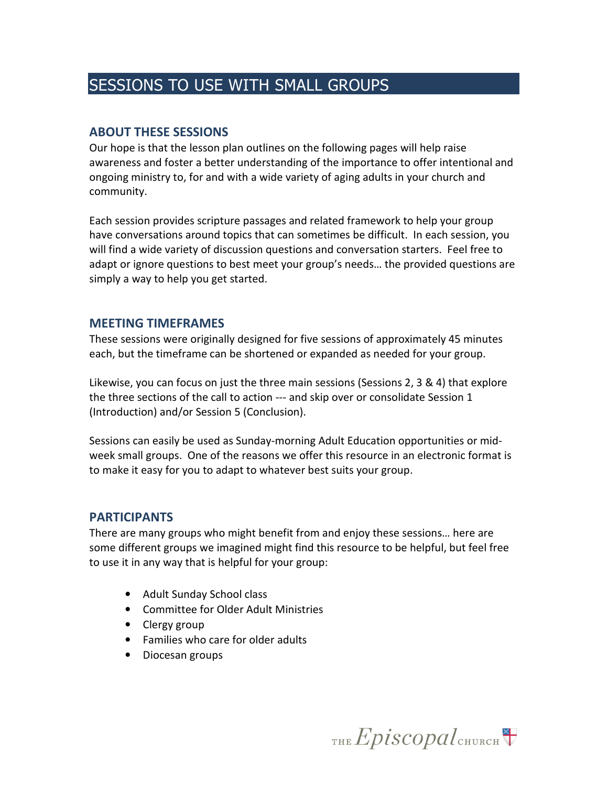## SESSIONS TO USE WITH SMALL GROUPS

#### ABOUT THESE SESSIONS

Our hope is that the lesson plan outlines on the following pages will help raise awareness and foster a better understanding of the importance to offer intentional and ongoing ministry to, for and with a wide variety of aging adults in your church and community.

Each session provides scripture passages and related framework to help your group have conversations around topics that can sometimes be difficult. In each session, you will find a wide variety of discussion questions and conversation starters. Feel free to adapt or ignore questions to best meet your group's needs… the provided questions are simply a way to help you get started.

#### MEETING TIMEFRAMES

These sessions were originally designed for five sessions of approximately 45 minutes each, but the timeframe can be shortened or expanded as needed for your group.

Likewise, you can focus on just the three main sessions (Sessions 2, 3 & 4) that explore the three sections of the call to action --- and skip over or consolidate Session 1 (Introduction) and/or Session 5 (Conclusion).

Sessions can easily be used as Sunday-morning Adult Education opportunities or midweek small groups. One of the reasons we offer this resource in an electronic format is to make it easy for you to adapt to whatever best suits your group.

### PARTICIPANTS

There are many groups who might benefit from and enjoy these sessions… here are some different groups we imagined might find this resource to be helpful, but feel free to use it in any way that is helpful for your group:

- Adult Sunday School class
- Committee for Older Adult Ministries
- Clergy group
- Families who care for older adults
- Diocesan groups

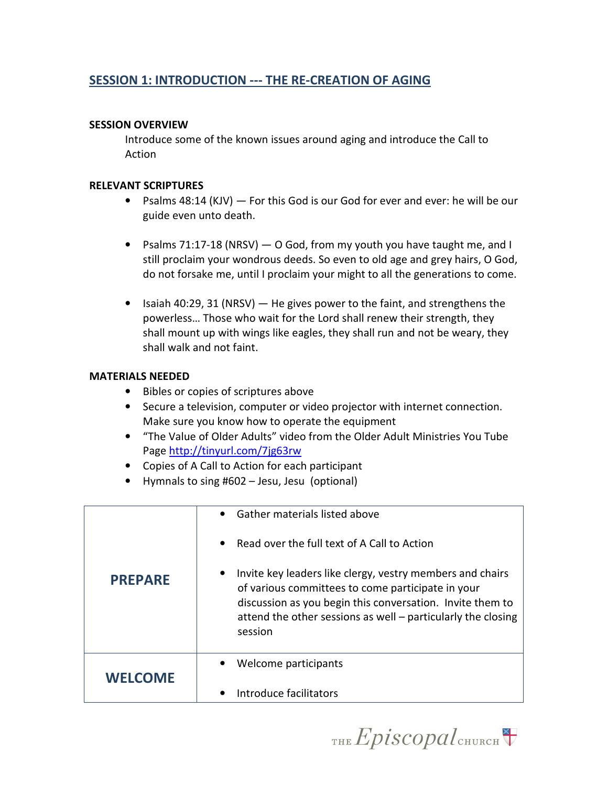### SESSION 1: INTRODUCTION --- THE RE-CREATION OF AGING

#### SESSION OVERVIEW

Introduce some of the known issues around aging and introduce the Call to Action

#### RELEVANT SCRIPTURES

- Psalms 48:14 (KJV) For this God is our God for ever and ever: he will be our guide even unto death.
- Psalms 71:17-18 (NRSV) O God, from my youth you have taught me, and I still proclaim your wondrous deeds. So even to old age and grey hairs, O God, do not forsake me, until I proclaim your might to all the generations to come.
- Isaiah 40:29, 31 (NRSV) He gives power to the faint, and strengthens the powerless… Those who wait for the Lord shall renew their strength, they shall mount up with wings like eagles, they shall run and not be weary, they shall walk and not faint.

#### MATERIALS NEEDED

- Bibles or copies of scriptures above
- Secure a television, computer or video projector with internet connection. Make sure you know how to operate the equipment
- "The Value of Older Adults" video from the Older Adult Ministries You Tube Page http://tinyurl.com/7jg63rw
- Copies of A Call to Action for each participant
- Hymnals to sing #602 Jesu, Jesu (optional)

|                | <b>Gather materials listed above</b>                                                                                                                                                                                                                                |
|----------------|---------------------------------------------------------------------------------------------------------------------------------------------------------------------------------------------------------------------------------------------------------------------|
|                | Read over the full text of A Call to Action<br>$\bullet$                                                                                                                                                                                                            |
| <b>PREPARE</b> | Invite key leaders like clergy, vestry members and chairs<br>$\bullet$<br>of various committees to come participate in your<br>discussion as you begin this conversation. Invite them to<br>attend the other sessions as well - particularly the closing<br>session |
| <b>WELCOME</b> | Welcome participants                                                                                                                                                                                                                                                |
|                | Introduce facilitators                                                                                                                                                                                                                                              |

THE  $Epis copal$ <sub>CHURCH</sub>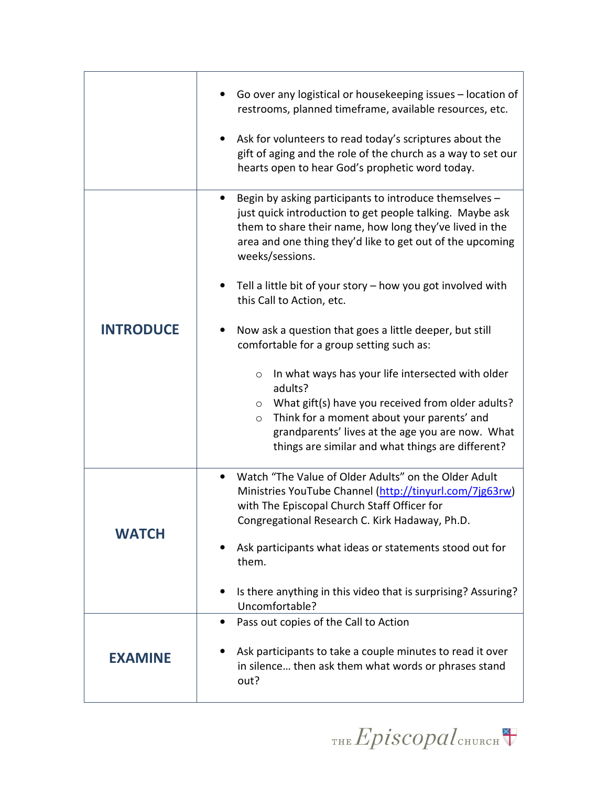|                  | Go over any logistical or housekeeping issues - location of<br>restrooms, planned timeframe, available resources, etc.<br>Ask for volunteers to read today's scriptures about the<br>$\bullet$<br>gift of aging and the role of the church as a way to set our<br>hearts open to hear God's prophetic word today.                                                                                                |
|------------------|------------------------------------------------------------------------------------------------------------------------------------------------------------------------------------------------------------------------------------------------------------------------------------------------------------------------------------------------------------------------------------------------------------------|
|                  | Begin by asking participants to introduce themselves -<br>٠<br>just quick introduction to get people talking. Maybe ask<br>them to share their name, how long they've lived in the<br>area and one thing they'd like to get out of the upcoming<br>weeks/sessions.<br>Tell a little bit of your story $-$ how you got involved with<br>this Call to Action, etc.                                                 |
| <b>INTRODUCE</b> | Now ask a question that goes a little deeper, but still<br>comfortable for a group setting such as:<br>In what ways has your life intersected with older<br>$\circ$<br>adults?<br>What gift(s) have you received from older adults?<br>$\circ$<br>Think for a moment about your parents' and<br>$\circ$<br>grandparents' lives at the age you are now. What<br>things are similar and what things are different? |
| <b>WATCH</b>     | Watch "The Value of Older Adults" on the Older Adult<br>٠<br>Ministries YouTube Channel (http://tinyurl.com/7jg63rw)<br>with The Episcopal Church Staff Officer for<br>Congregational Research C. Kirk Hadaway, Ph.D.<br>Ask participants what ideas or statements stood out for<br>them.<br>Is there anything in this video that is surprising? Assuring?<br>٠<br>Uncomfortable?                                |
| <b>EXAMINE</b>   | Pass out copies of the Call to Action<br>$\bullet$<br>Ask participants to take a couple minutes to read it over<br>in silence then ask them what words or phrases stand<br>out?                                                                                                                                                                                                                                  |

THE Episcopal CHURCH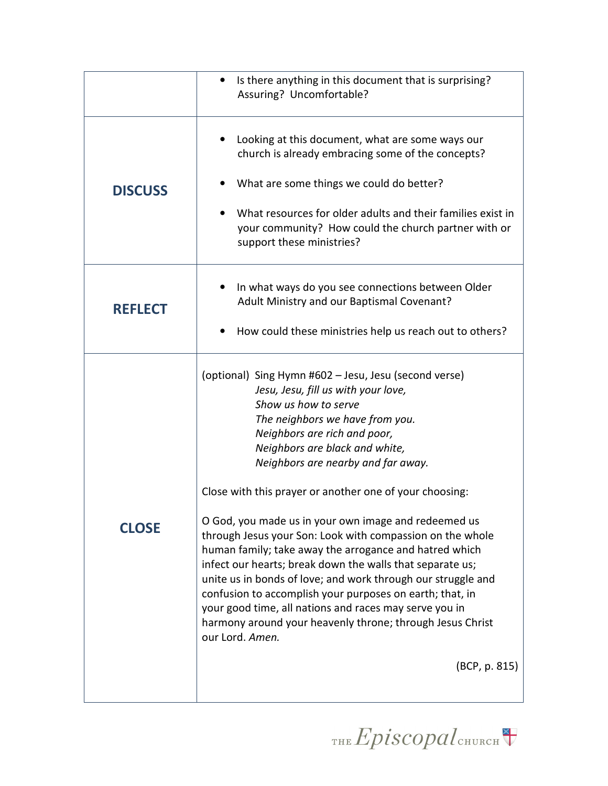|                | Is there anything in this document that is surprising?<br>Assuring? Uncomfortable?                                                                                                                                                                                                                                                                                                                                                                                                                                                                                                                                                                                                                                                                                                                                                                            |
|----------------|---------------------------------------------------------------------------------------------------------------------------------------------------------------------------------------------------------------------------------------------------------------------------------------------------------------------------------------------------------------------------------------------------------------------------------------------------------------------------------------------------------------------------------------------------------------------------------------------------------------------------------------------------------------------------------------------------------------------------------------------------------------------------------------------------------------------------------------------------------------|
|                | Looking at this document, what are some ways our<br>church is already embracing some of the concepts?                                                                                                                                                                                                                                                                                                                                                                                                                                                                                                                                                                                                                                                                                                                                                         |
| <b>DISCUSS</b> | What are some things we could do better?                                                                                                                                                                                                                                                                                                                                                                                                                                                                                                                                                                                                                                                                                                                                                                                                                      |
|                | What resources for older adults and their families exist in<br>your community? How could the church partner with or<br>support these ministries?                                                                                                                                                                                                                                                                                                                                                                                                                                                                                                                                                                                                                                                                                                              |
| <b>REFLECT</b> | In what ways do you see connections between Older<br>Adult Ministry and our Baptismal Covenant?                                                                                                                                                                                                                                                                                                                                                                                                                                                                                                                                                                                                                                                                                                                                                               |
|                | How could these ministries help us reach out to others?                                                                                                                                                                                                                                                                                                                                                                                                                                                                                                                                                                                                                                                                                                                                                                                                       |
| <b>CLOSE</b>   | (optional) Sing Hymn #602 - Jesu, Jesu (second verse)<br>Jesu, Jesu, fill us with your love,<br>Show us how to serve<br>The neighbors we have from you.<br>Neighbors are rich and poor,<br>Neighbors are black and white,<br>Neighbors are nearby and far away.<br>Close with this prayer or another one of your choosing:<br>O God, you made us in your own image and redeemed us<br>through Jesus your Son: Look with compassion on the whole<br>human family; take away the arrogance and hatred which<br>infect our hearts; break down the walls that separate us;<br>unite us in bonds of love; and work through our struggle and<br>confusion to accomplish your purposes on earth; that, in<br>your good time, all nations and races may serve you in<br>harmony around your heavenly throne; through Jesus Christ<br>our Lord. Amen.<br>(BCP, p. 815) |

THE Episcopal CHURCH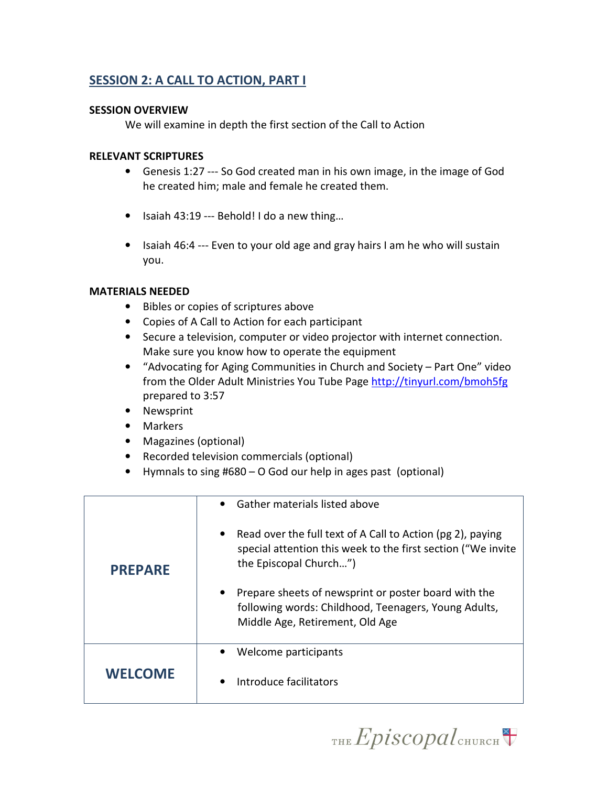### SESSION 2: A CALL TO ACTION, PART I

#### SESSION OVERVIEW

We will examine in depth the first section of the Call to Action

#### RELEVANT SCRIPTURES

- Genesis 1:27 --- So God created man in his own image, in the image of God he created him; male and female he created them.
- Isaiah 43:19 --- Behold! I do a new thing…
- Isaiah 46:4 --- Even to your old age and gray hairs I am he who will sustain you.

#### MATERIALS NEEDED

- Bibles or copies of scriptures above
- Copies of A Call to Action for each participant
- Secure a television, computer or video projector with internet connection. Make sure you know how to operate the equipment
- "Advocating for Aging Communities in Church and Society Part One" video from the Older Adult Ministries You Tube Page http://tinyurl.com/bmoh5fg prepared to 3:57
- Newsprint
- Markers
- Magazines (optional)
- Recorded television commercials (optional)
- Hymnals to sing #680 O God our help in ages past (optional)

| <b>PREPARE</b> | <b>Gather materials listed above</b>                                                                                                                              |
|----------------|-------------------------------------------------------------------------------------------------------------------------------------------------------------------|
|                | Read over the full text of A Call to Action (pg 2), paying<br>$\bullet$<br>special attention this week to the first section ("We invite<br>the Episcopal Church") |
|                | Prepare sheets of newsprint or poster board with the<br>following words: Childhood, Teenagers, Young Adults,<br>Middle Age, Retirement, Old Age                   |
|                | Welcome participants                                                                                                                                              |
| <b>WELCOME</b> | Introduce facilitators                                                                                                                                            |

THE  $Epis copal$ <sub>CHURCH</sub>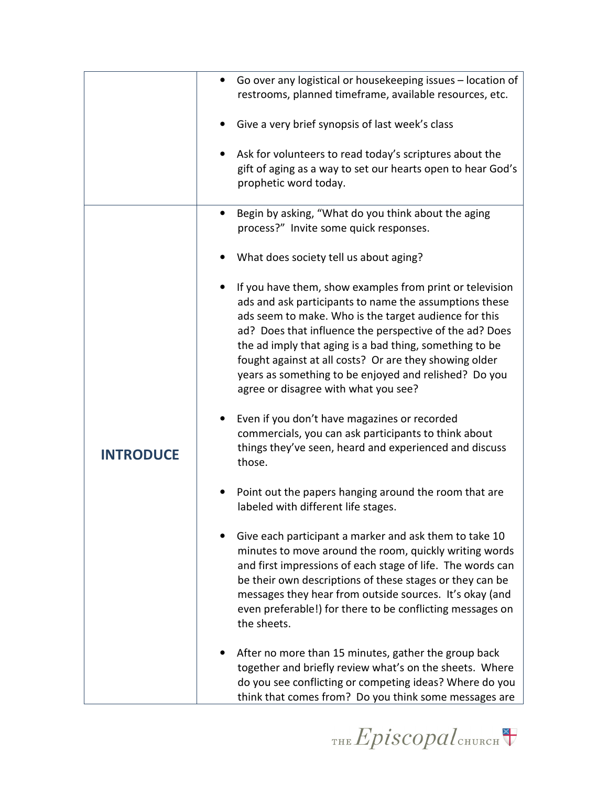|                  | Go over any logistical or housekeeping issues - location of<br>$\bullet$ |
|------------------|--------------------------------------------------------------------------|
|                  | restrooms, planned timeframe, available resources, etc.                  |
|                  |                                                                          |
|                  | Give a very brief synopsis of last week's class                          |
|                  |                                                                          |
|                  | Ask for volunteers to read today's scriptures about the                  |
|                  | gift of aging as a way to set our hearts open to hear God's              |
|                  | prophetic word today.                                                    |
|                  |                                                                          |
|                  | Begin by asking, "What do you think about the aging                      |
|                  | process?" Invite some quick responses.                                   |
|                  |                                                                          |
|                  | What does society tell us about aging?                                   |
|                  |                                                                          |
|                  | If you have them, show examples from print or television                 |
|                  | ads and ask participants to name the assumptions these                   |
|                  | ads seem to make. Who is the target audience for this                    |
|                  | ad? Does that influence the perspective of the ad? Does                  |
|                  | the ad imply that aging is a bad thing, something to be                  |
|                  | fought against at all costs? Or are they showing older                   |
|                  | years as something to be enjoyed and relished? Do you                    |
|                  | agree or disagree with what you see?                                     |
|                  |                                                                          |
|                  | Even if you don't have magazines or recorded                             |
|                  | commercials, you can ask participants to think about                     |
| <b>INTRODUCE</b> | things they've seen, heard and experienced and discuss                   |
|                  | those.                                                                   |
|                  |                                                                          |
|                  | Point out the papers hanging around the room that are                    |
|                  | labeled with different life stages.                                      |
|                  | Give each participant a marker and ask them to take 10                   |
|                  | minutes to move around the room, quickly writing words                   |
|                  | and first impressions of each stage of life. The words can               |
|                  | be their own descriptions of these stages or they can be                 |
|                  | messages they hear from outside sources. It's okay (and                  |
|                  | even preferable!) for there to be conflicting messages on                |
|                  | the sheets.                                                              |
|                  |                                                                          |
|                  | After no more than 15 minutes, gather the group back                     |
|                  | together and briefly review what's on the sheets. Where                  |
|                  | do you see conflicting or competing ideas? Where do you                  |
|                  | think that comes from? Do you think some messages are                    |

THE Episcopal CHURCH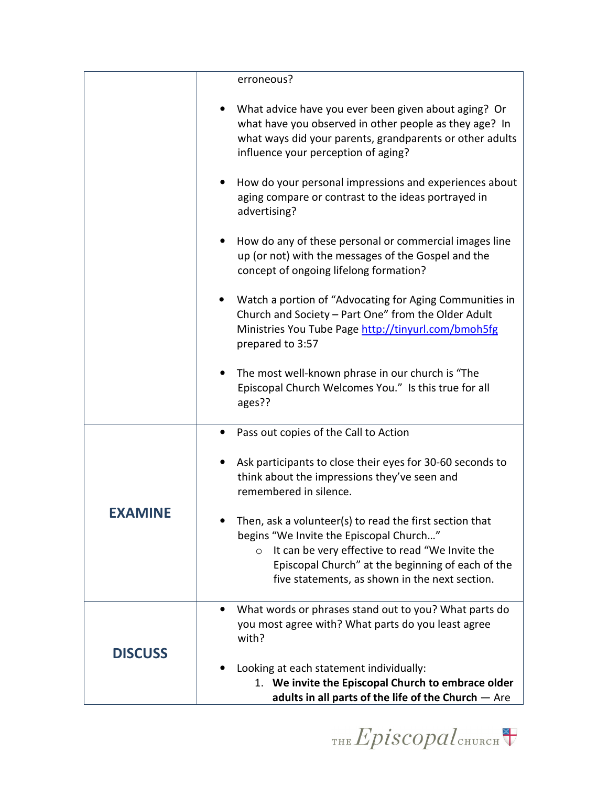|                | erroneous?                                                                                                                                                                                                                                                               |
|----------------|--------------------------------------------------------------------------------------------------------------------------------------------------------------------------------------------------------------------------------------------------------------------------|
|                | What advice have you ever been given about aging? Or<br>what have you observed in other people as they age? In<br>what ways did your parents, grandparents or other adults<br>influence your perception of aging?                                                        |
|                | How do your personal impressions and experiences about<br>aging compare or contrast to the ideas portrayed in<br>advertising?                                                                                                                                            |
|                | How do any of these personal or commercial images line<br>up (or not) with the messages of the Gospel and the<br>concept of ongoing lifelong formation?                                                                                                                  |
|                | Watch a portion of "Advocating for Aging Communities in<br>Church and Society - Part One" from the Older Adult<br>Ministries You Tube Page http://tinyurl.com/bmoh5fg<br>prepared to 3:57                                                                                |
|                | The most well-known phrase in our church is "The<br>Episcopal Church Welcomes You." Is this true for all<br>ages??                                                                                                                                                       |
|                | Pass out copies of the Call to Action                                                                                                                                                                                                                                    |
|                | Ask participants to close their eyes for 30-60 seconds to<br>think about the impressions they've seen and<br>remembered in silence.                                                                                                                                      |
| <b>FXAMINF</b> | Then, ask a volunteer(s) to read the first section that<br>begins "We Invite the Episcopal Church"<br>It can be very effective to read "We Invite the<br>$\Omega$<br>Episcopal Church" at the beginning of each of the<br>five statements, as shown in the next section. |
|                | What words or phrases stand out to you? What parts do<br>you most agree with? What parts do you least agree<br>with?                                                                                                                                                     |
| <b>DISCUSS</b> | Looking at each statement individually:<br>1. We invite the Episcopal Church to embrace older<br>adults in all parts of the life of the Church $-$ Are                                                                                                                   |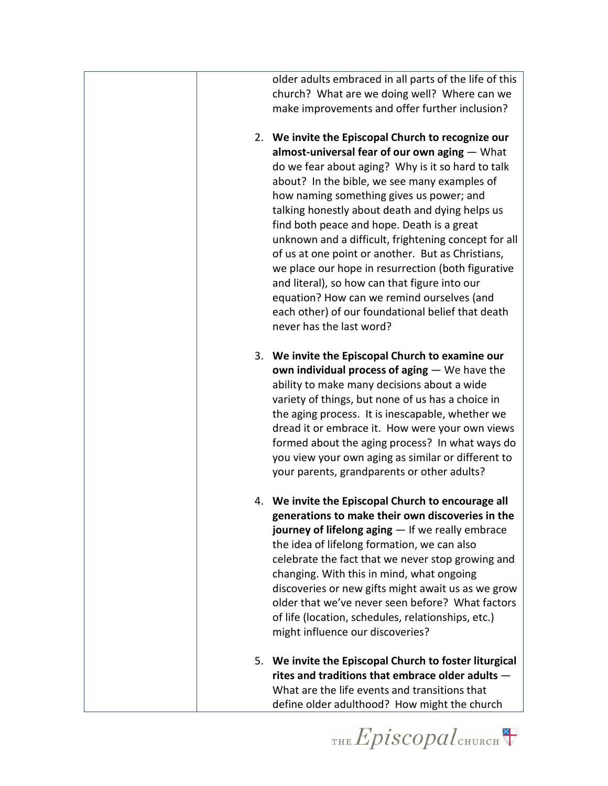| older adults embraced in all parts of the life of this                                                                                                                                                                                                                                                                                                                                                                                                                                                                                                                                                                                                                                                   |
|----------------------------------------------------------------------------------------------------------------------------------------------------------------------------------------------------------------------------------------------------------------------------------------------------------------------------------------------------------------------------------------------------------------------------------------------------------------------------------------------------------------------------------------------------------------------------------------------------------------------------------------------------------------------------------------------------------|
| church? What are we doing well? Where can we<br>make improvements and offer further inclusion?                                                                                                                                                                                                                                                                                                                                                                                                                                                                                                                                                                                                           |
| 2. We invite the Episcopal Church to recognize our<br>almost-universal fear of our own aging - What<br>do we fear about aging? Why is it so hard to talk<br>about? In the bible, we see many examples of<br>how naming something gives us power; and<br>talking honestly about death and dying helps us<br>find both peace and hope. Death is a great<br>unknown and a difficult, frightening concept for all<br>of us at one point or another. But as Christians,<br>we place our hope in resurrection (both figurative<br>and literal), so how can that figure into our<br>equation? How can we remind ourselves (and<br>each other) of our foundational belief that death<br>never has the last word? |
| 3. We invite the Episcopal Church to examine our<br>own individual process of aging $-$ We have the<br>ability to make many decisions about a wide<br>variety of things, but none of us has a choice in<br>the aging process. It is inescapable, whether we<br>dread it or embrace it. How were your own views<br>formed about the aging process? In what ways do<br>you view your own aging as similar or different to<br>your parents, grandparents or other adults?                                                                                                                                                                                                                                   |
| 4. We invite the Episcopal Church to encourage all<br>generations to make their own discoveries in the<br>journey of lifelong $a$ ging $-$ If we really embrace<br>the idea of lifelong formation, we can also<br>celebrate the fact that we never stop growing and<br>changing. With this in mind, what ongoing<br>discoveries or new gifts might await us as we grow<br>older that we've never seen before? What factors<br>of life (location, schedules, relationships, etc.)<br>might influence our discoveries?                                                                                                                                                                                     |
| 5. We invite the Episcopal Church to foster liturgical<br>rites and traditions that embrace older adults -<br>What are the life events and transitions that<br>define older adulthood? How might the church                                                                                                                                                                                                                                                                                                                                                                                                                                                                                              |

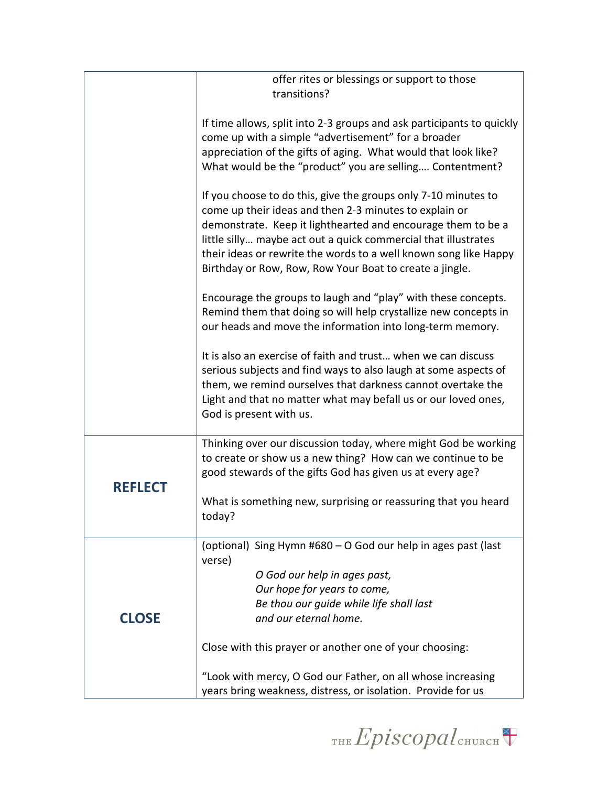|                | offer rites or blessings or support to those                                                                                                                                                                                                                                                                                                                                              |
|----------------|-------------------------------------------------------------------------------------------------------------------------------------------------------------------------------------------------------------------------------------------------------------------------------------------------------------------------------------------------------------------------------------------|
|                | transitions?                                                                                                                                                                                                                                                                                                                                                                              |
|                | If time allows, split into 2-3 groups and ask participants to quickly<br>come up with a simple "advertisement" for a broader<br>appreciation of the gifts of aging. What would that look like?<br>What would be the "product" you are selling Contentment?                                                                                                                                |
|                | If you choose to do this, give the groups only 7-10 minutes to<br>come up their ideas and then 2-3 minutes to explain or<br>demonstrate. Keep it lighthearted and encourage them to be a<br>little silly maybe act out a quick commercial that illustrates<br>their ideas or rewrite the words to a well known song like Happy<br>Birthday or Row, Row, Row Your Boat to create a jingle. |
|                | Encourage the groups to laugh and "play" with these concepts.<br>Remind them that doing so will help crystallize new concepts in<br>our heads and move the information into long-term memory.                                                                                                                                                                                             |
|                | It is also an exercise of faith and trust when we can discuss<br>serious subjects and find ways to also laugh at some aspects of<br>them, we remind ourselves that darkness cannot overtake the<br>Light and that no matter what may befall us or our loved ones,<br>God is present with us.                                                                                              |
|                | Thinking over our discussion today, where might God be working<br>to create or show us a new thing? How can we continue to be<br>good stewards of the gifts God has given us at every age?                                                                                                                                                                                                |
| <b>REFLECT</b> | What is something new, surprising or reassuring that you heard<br>today?                                                                                                                                                                                                                                                                                                                  |
|                | (optional) Sing Hymn #680 - O God our help in ages past (last<br>verse)<br>O God our help in ages past,<br>Our hope for years to come,<br>Be thou our guide while life shall last                                                                                                                                                                                                         |
| <b>CLOSE</b>   | and our eternal home.                                                                                                                                                                                                                                                                                                                                                                     |
|                | Close with this prayer or another one of your choosing:                                                                                                                                                                                                                                                                                                                                   |
|                | "Look with mercy, O God our Father, on all whose increasing<br>years bring weakness, distress, or isolation. Provide for us                                                                                                                                                                                                                                                               |

THE Episcopal CHURCH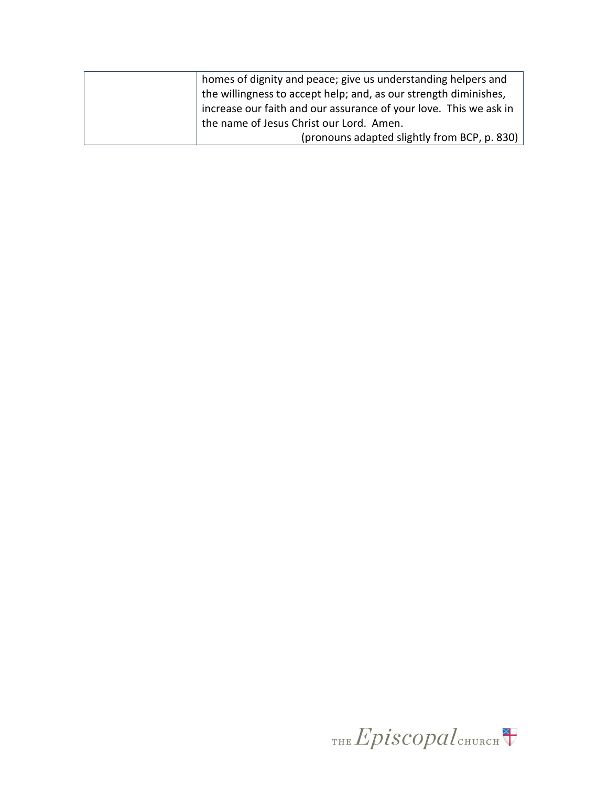| homes of dignity and peace; give us understanding helpers and          |
|------------------------------------------------------------------------|
| $\pm$ the willingness to accept help; and, as our strength diminishes, |
| increase our faith and our assurance of your love. This we ask in      |
| the name of Jesus Christ our Lord. Amen.                               |
| (pronouns adapted slightly from BCP, p. 830)                           |

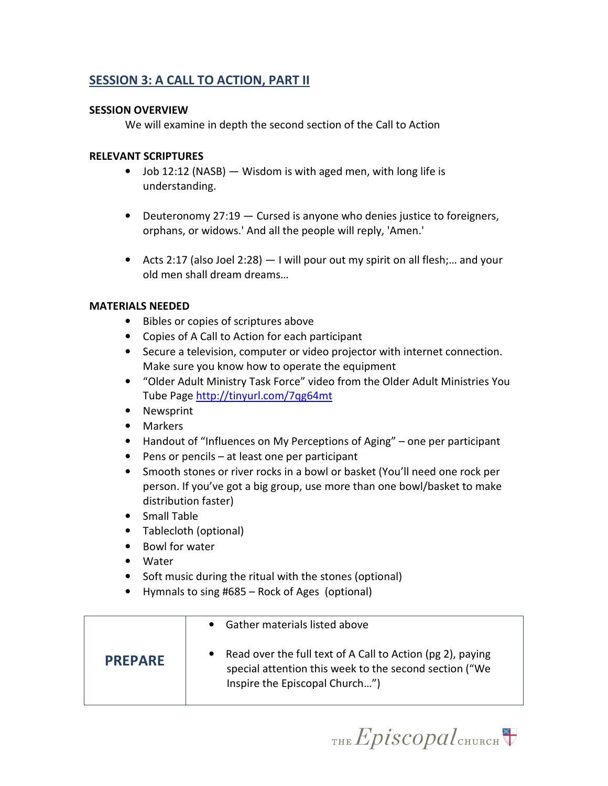### SESSION 3: A CALL TO ACTION, PART II

#### SESSION OVERVIEW

We will examine in depth the second section of the Call to Action

#### RELEVANT SCRIPTURES

- Job 12:12 (NASB) Wisdom is with aged men, with long life is understanding.
- Deuteronomy 27:19 Cursed is anyone who denies justice to foreigners, orphans, or widows.' And all the people will reply, 'Amen.'
- Acts 2:17 (also Joel 2:28) I will pour out my spirit on all flesh;… and your old men shall dream dreams…

#### MATERIALS NEEDED

- Bibles or copies of scriptures above
- Copies of A Call to Action for each participant
- Secure a television, computer or video projector with internet connection. Make sure you know how to operate the equipment
- "Older Adult Ministry Task Force" video from the Older Adult Ministries You Tube Page http://tinyurl.com/7qg64mt
- Newsprint
- Markers
- Handout of "Influences on My Perceptions of Aging" one per participant
- Pens or pencils at least one per participant
- Smooth stones or river rocks in a bowl or basket (You'll need one rock per person. If you've got a big group, use more than one bowl/basket to make distribution faster)
- Small Table
- Tablecloth (optional)
- Bowl for water
- Water
- Soft music during the ritual with the stones (optional)
- Hymnals to sing #685 Rock of Ages (optional)

|                | Gather materials listed above<br>$\bullet$                                                                                                               |
|----------------|----------------------------------------------------------------------------------------------------------------------------------------------------------|
| <b>PREPARE</b> | • Read over the full text of A Call to Action (pg 2), paying<br>special attention this week to the second section ("We<br>Inspire the Episcopal Church") |

THE  $Epis copal$ <sub>CHURCH</sub>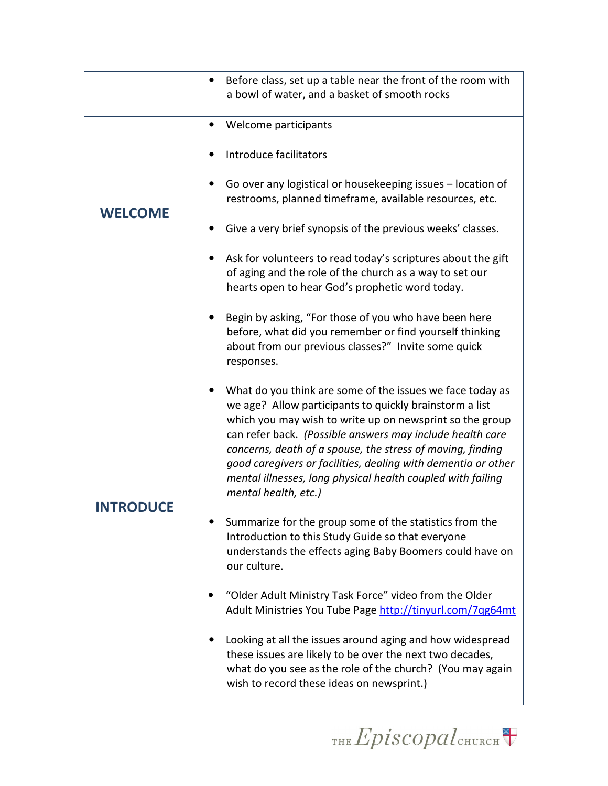|                  | Before class, set up a table near the front of the room with<br>$\bullet$                                                                                                                                                                                                                                                                                                                                                                                           |
|------------------|---------------------------------------------------------------------------------------------------------------------------------------------------------------------------------------------------------------------------------------------------------------------------------------------------------------------------------------------------------------------------------------------------------------------------------------------------------------------|
|                  | a bowl of water, and a basket of smooth rocks                                                                                                                                                                                                                                                                                                                                                                                                                       |
| <b>WELCOME</b>   | Welcome participants                                                                                                                                                                                                                                                                                                                                                                                                                                                |
|                  | Introduce facilitators                                                                                                                                                                                                                                                                                                                                                                                                                                              |
|                  | Go over any logistical or housekeeping issues – location of<br>restrooms, planned timeframe, available resources, etc.                                                                                                                                                                                                                                                                                                                                              |
|                  | Give a very brief synopsis of the previous weeks' classes.                                                                                                                                                                                                                                                                                                                                                                                                          |
|                  | Ask for volunteers to read today's scriptures about the gift<br>of aging and the role of the church as a way to set our<br>hearts open to hear God's prophetic word today.                                                                                                                                                                                                                                                                                          |
| <b>INTRODUCE</b> | Begin by asking, "For those of you who have been here<br>before, what did you remember or find yourself thinking<br>about from our previous classes?" Invite some quick<br>responses.                                                                                                                                                                                                                                                                               |
|                  | What do you think are some of the issues we face today as<br>we age? Allow participants to quickly brainstorm a list<br>which you may wish to write up on newsprint so the group<br>can refer back. (Possible answers may include health care<br>concerns, death of a spouse, the stress of moving, finding<br>good caregivers or facilities, dealing with dementia or other<br>mental illnesses, long physical health coupled with failing<br>mental health, etc.) |
|                  | Summarize for the group some of the statistics from the<br>Introduction to this Study Guide so that everyone<br>understands the effects aging Baby Boomers could have on<br>our culture.                                                                                                                                                                                                                                                                            |
|                  | "Older Adult Ministry Task Force" video from the Older<br>Adult Ministries You Tube Page http://tinyurl.com/7qg64mt                                                                                                                                                                                                                                                                                                                                                 |
|                  | Looking at all the issues around aging and how widespread<br>these issues are likely to be over the next two decades,<br>what do you see as the role of the church? (You may again<br>wish to record these ideas on newsprint.)                                                                                                                                                                                                                                     |

THE Episcopal CHURCH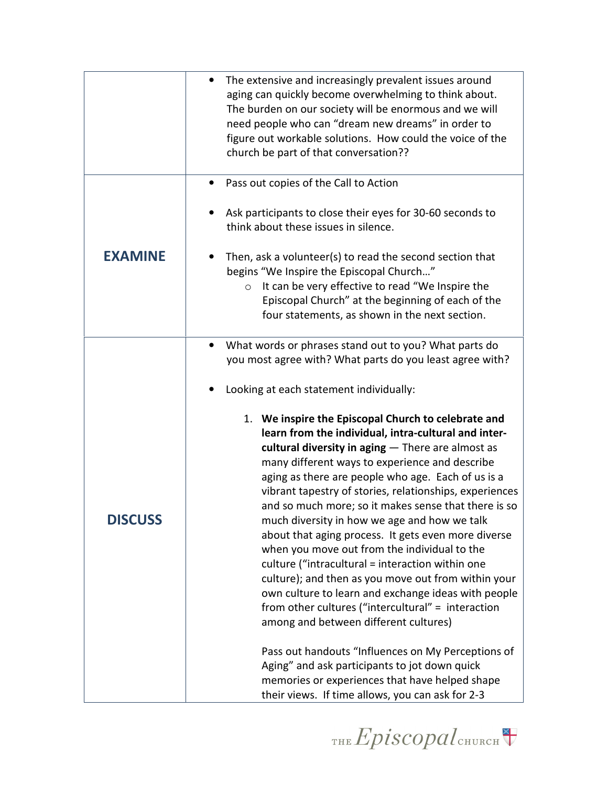|                | The extensive and increasingly prevalent issues around<br>aging can quickly become overwhelming to think about.<br>The burden on our society will be enormous and we will<br>need people who can "dream new dreams" in order to<br>figure out workable solutions. How could the voice of the<br>church be part of that conversation??                                                                                                                                                                                                                                                                                                                                                                                                                                                                                                                                                                                                                                                                                                                                                                                                                                                              |
|----------------|----------------------------------------------------------------------------------------------------------------------------------------------------------------------------------------------------------------------------------------------------------------------------------------------------------------------------------------------------------------------------------------------------------------------------------------------------------------------------------------------------------------------------------------------------------------------------------------------------------------------------------------------------------------------------------------------------------------------------------------------------------------------------------------------------------------------------------------------------------------------------------------------------------------------------------------------------------------------------------------------------------------------------------------------------------------------------------------------------------------------------------------------------------------------------------------------------|
| <b>EXAMINE</b> | Pass out copies of the Call to Action<br>٠<br>Ask participants to close their eyes for 30-60 seconds to<br>think about these issues in silence.<br>Then, ask a volunteer(s) to read the second section that<br>begins "We Inspire the Episcopal Church"<br>It can be very effective to read "We Inspire the<br>$\circ$<br>Episcopal Church" at the beginning of each of the<br>four statements, as shown in the next section.                                                                                                                                                                                                                                                                                                                                                                                                                                                                                                                                                                                                                                                                                                                                                                      |
| <b>DISCUSS</b> | What words or phrases stand out to you? What parts do<br>you most agree with? What parts do you least agree with?<br>Looking at each statement individually:<br>1. We inspire the Episcopal Church to celebrate and<br>learn from the individual, intra-cultural and inter-<br>cultural diversity in aging $-$ There are almost as<br>many different ways to experience and describe<br>aging as there are people who age. Each of us is a<br>vibrant tapestry of stories, relationships, experiences<br>and so much more; so it makes sense that there is so<br>much diversity in how we age and how we talk<br>about that aging process. It gets even more diverse<br>when you move out from the individual to the<br>culture ("intracultural = interaction within one<br>culture); and then as you move out from within your<br>own culture to learn and exchange ideas with people<br>from other cultures ("intercultural" = interaction<br>among and between different cultures)<br>Pass out handouts "Influences on My Perceptions of<br>Aging" and ask participants to jot down quick<br>memories or experiences that have helped shape<br>their views. If time allows, you can ask for 2-3 |

THE Episcopal CHURCH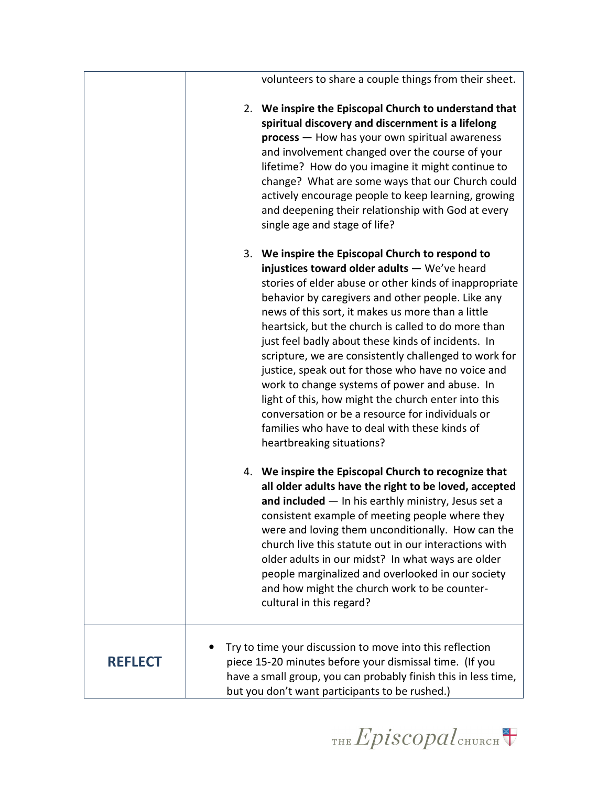|                | volunteers to share a couple things from their sheet.                                                                                                                                                                                                                                                                                                                                                                                                                                                                                                                                                                                                                                                                                      |
|----------------|--------------------------------------------------------------------------------------------------------------------------------------------------------------------------------------------------------------------------------------------------------------------------------------------------------------------------------------------------------------------------------------------------------------------------------------------------------------------------------------------------------------------------------------------------------------------------------------------------------------------------------------------------------------------------------------------------------------------------------------------|
|                | 2. We inspire the Episcopal Church to understand that<br>spiritual discovery and discernment is a lifelong<br>process - How has your own spiritual awareness<br>and involvement changed over the course of your<br>lifetime? How do you imagine it might continue to<br>change? What are some ways that our Church could<br>actively encourage people to keep learning, growing<br>and deepening their relationship with God at every<br>single age and stage of life?                                                                                                                                                                                                                                                                     |
|                | 3. We inspire the Episcopal Church to respond to<br>injustices toward older adults - We've heard<br>stories of elder abuse or other kinds of inappropriate<br>behavior by caregivers and other people. Like any<br>news of this sort, it makes us more than a little<br>heartsick, but the church is called to do more than<br>just feel badly about these kinds of incidents. In<br>scripture, we are consistently challenged to work for<br>justice, speak out for those who have no voice and<br>work to change systems of power and abuse. In<br>light of this, how might the church enter into this<br>conversation or be a resource for individuals or<br>families who have to deal with these kinds of<br>heartbreaking situations? |
|                | 4. We inspire the Episcopal Church to recognize that<br>all older adults have the right to be loved, accepted<br>and included - In his earthly ministry, Jesus set a<br>consistent example of meeting people where they<br>were and loving them unconditionally. How can the<br>church live this statute out in our interactions with<br>older adults in our midst? In what ways are older<br>people marginalized and overlooked in our society<br>and how might the church work to be counter-<br>cultural in this regard?                                                                                                                                                                                                                |
| <b>REFLECT</b> | Try to time your discussion to move into this reflection<br>piece 15-20 minutes before your dismissal time. (If you<br>have a small group, you can probably finish this in less time,<br>but you don't want participants to be rushed.)                                                                                                                                                                                                                                                                                                                                                                                                                                                                                                    |

THE Episcopal CHURCH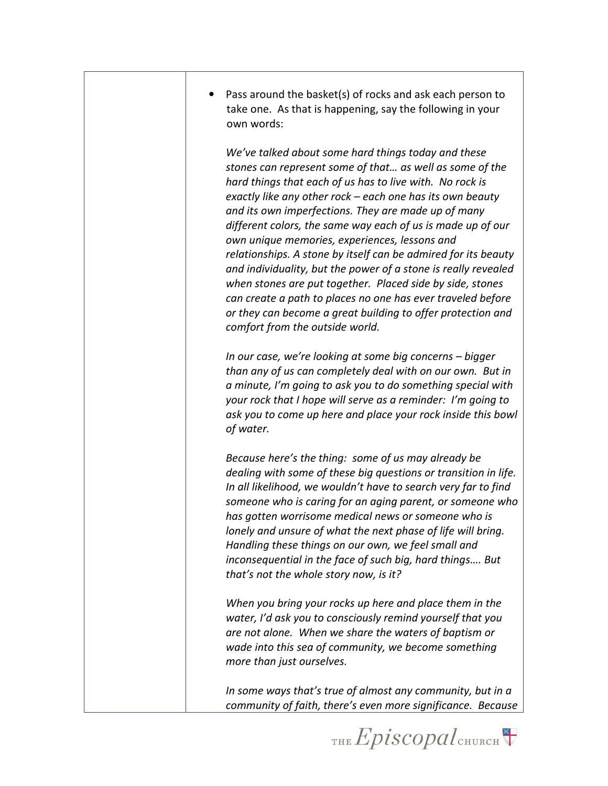Pass around the basket(s) of rocks and ask each person to take one. As that is happening, say the following in your own words:

We've talked about some hard things today and these stones can represent some of that… as well as some of the hard things that each of us has to live with. No rock is exactly like any other rock – each one has its own beauty and its own imperfections. They are made up of many different colors, the same way each of us is made up of our own unique memories, experiences, lessons and relationships. A stone by itself can be admired for its beauty and individuality, but the power of a stone is really revealed when stones are put together. Placed side by side, stones can create a path to places no one has ever traveled before or they can become a great building to offer protection and comfort from the outside world.

In our case, we're looking at some big concerns – bigger than any of us can completely deal with on our own. But in a minute, I'm going to ask you to do something special with your rock that I hope will serve as a reminder: I'm going to ask you to come up here and place your rock inside this bowl of water.

Because here's the thing: some of us may already be dealing with some of these big questions or transition in life. In all likelihood, we wouldn't have to search very far to find someone who is caring for an aging parent, or someone who has gotten worrisome medical news or someone who is lonely and unsure of what the next phase of life will bring. Handling these things on our own, we feel small and inconsequential in the face of such big, hard things…. But that's not the whole story now, is it?

When you bring your rocks up here and place them in the water, I'd ask you to consciously remind yourself that you are not alone. When we share the waters of baptism or wade into this sea of community, we become something more than just ourselves.

In some ways that's true of almost any community, but in a community of faith, there's even more significance. Because

THE  $Epis copal$ <sub>CHURCH</sub>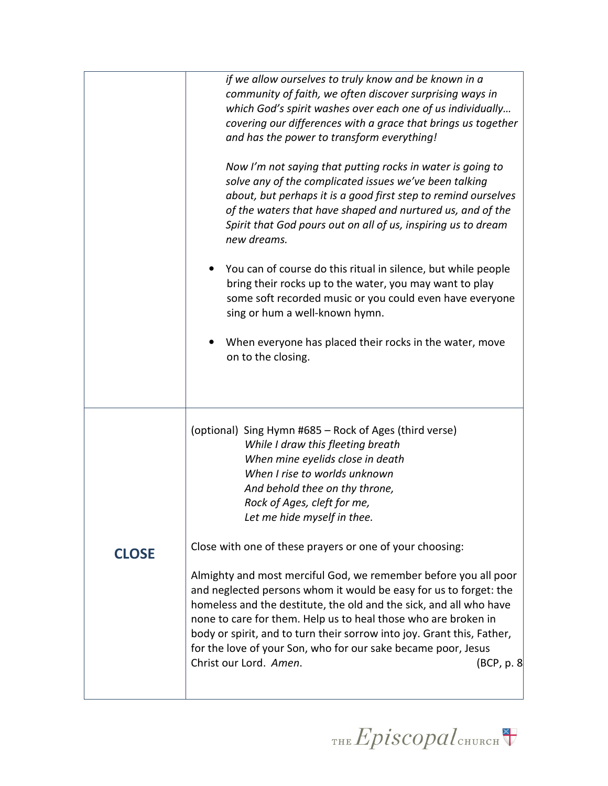|              | if we allow ourselves to truly know and be known in a<br>community of faith, we often discover surprising ways in<br>which God's spirit washes over each one of us individually<br>covering our differences with a grace that brings us together<br>and has the power to transform everything!<br>Now I'm not saying that putting rocks in water is going to<br>solve any of the complicated issues we've been talking<br>about, but perhaps it is a good first step to remind ourselves<br>of the waters that have shaped and nurtured us, and of the<br>Spirit that God pours out on all of us, inspiring us to dream<br>new dreams.<br>You can of course do this ritual in silence, but while people<br>bring their rocks up to the water, you may want to play<br>some soft recorded music or you could even have everyone<br>sing or hum a well-known hymn.<br>When everyone has placed their rocks in the water, move<br>on to the closing. |
|--------------|---------------------------------------------------------------------------------------------------------------------------------------------------------------------------------------------------------------------------------------------------------------------------------------------------------------------------------------------------------------------------------------------------------------------------------------------------------------------------------------------------------------------------------------------------------------------------------------------------------------------------------------------------------------------------------------------------------------------------------------------------------------------------------------------------------------------------------------------------------------------------------------------------------------------------------------------------|
| <b>CLOSE</b> | (optional) Sing Hymn #685 – Rock of Ages (third verse)<br>While I draw this fleeting breath<br>When mine eyelids close in death<br>When I rise to worlds unknown<br>And behold thee on thy throne,<br>Rock of Ages, cleft for me,<br>Let me hide myself in thee.<br>Close with one of these prayers or one of your choosing:<br>Almighty and most merciful God, we remember before you all poor<br>and neglected persons whom it would be easy for us to forget: the<br>homeless and the destitute, the old and the sick, and all who have<br>none to care for them. Help us to heal those who are broken in<br>body or spirit, and to turn their sorrow into joy. Grant this, Father,<br>for the love of your Son, who for our sake became poor, Jesus<br>Christ our Lord. Amen.<br>(BCP, p. 8                                                                                                                                                   |

THE Episcopal CHURCH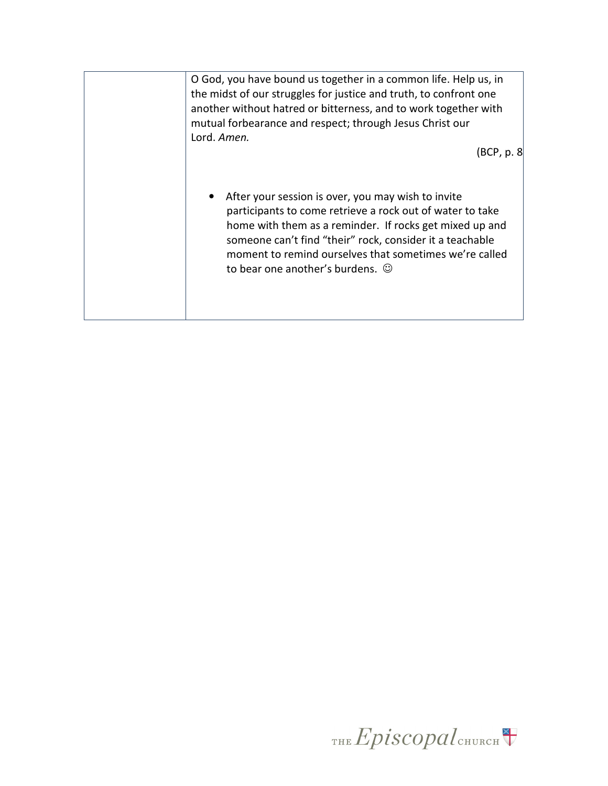| O God, you have bound us together in a common life. Help us, in<br>the midst of our struggles for justice and truth, to confront one<br>another without hatred or bitterness, and to work together with<br>mutual forbearance and respect; through Jesus Christ our<br>Lord. Amen.                                                         |
|--------------------------------------------------------------------------------------------------------------------------------------------------------------------------------------------------------------------------------------------------------------------------------------------------------------------------------------------|
| (BCP, p. 8                                                                                                                                                                                                                                                                                                                                 |
| After your session is over, you may wish to invite<br>participants to come retrieve a rock out of water to take<br>home with them as a reminder. If rocks get mixed up and<br>someone can't find "their" rock, consider it a teachable<br>moment to remind ourselves that sometimes we're called<br>to bear one another's burdens. $\odot$ |

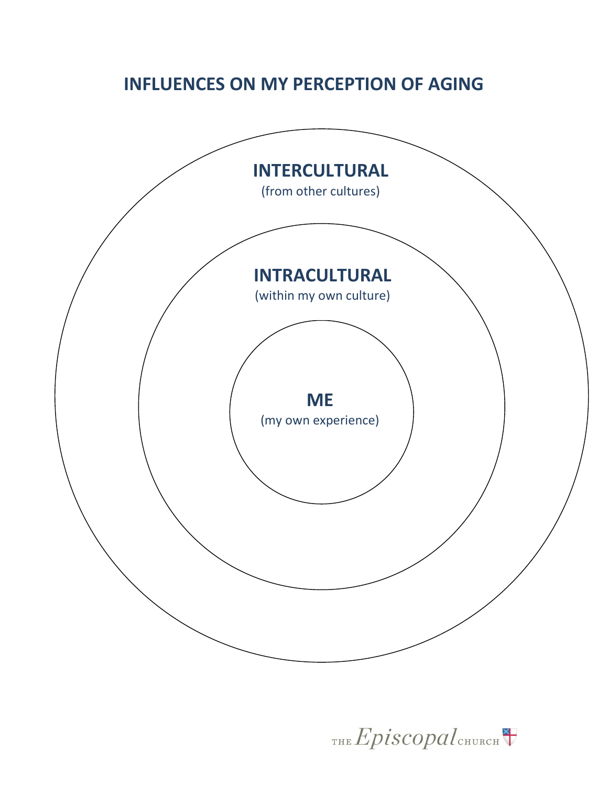# INFLUENCES ON MY PERCEPTION OF AGING



THE Episcopal CHURCH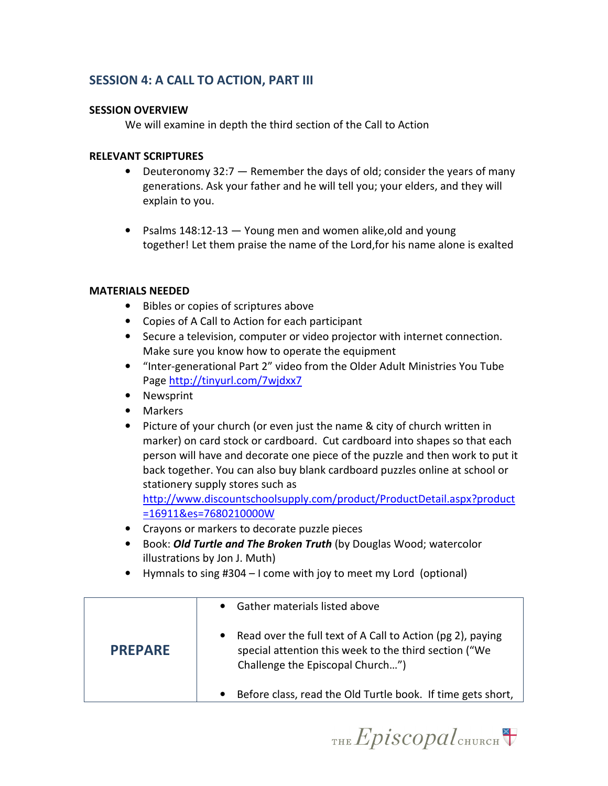### SESSION 4: A CALL TO ACTION, PART III

#### SESSION OVERVIEW

We will examine in depth the third section of the Call to Action

#### RELEVANT SCRIPTURES

- Deuteronomy 32:7 Remember the days of old; consider the years of many generations. Ask your father and he will tell you; your elders, and they will explain to you.
- Psalms 148:12-13 Young men and women alike,old and young together! Let them praise the name of the Lord,for his name alone is exalted

#### MATERIALS NEEDED

- Bibles or copies of scriptures above
- Copies of A Call to Action for each participant
- Secure a television, computer or video projector with internet connection. Make sure you know how to operate the equipment
- "Inter-generational Part 2" video from the Older Adult Ministries You Tube Page http://tinyurl.com/7wjdxx7
- Newsprint
- Markers
- Picture of your church (or even just the name & city of church written in marker) on card stock or cardboard. Cut cardboard into shapes so that each person will have and decorate one piece of the puzzle and then work to put it back together. You can also buy blank cardboard puzzles online at school or stationery supply stores such as

http://www.discountschoolsupply.com/product/ProductDetail.aspx?product =16911&es=7680210000W

- Crayons or markers to decorate puzzle pieces
- Book: Old Turtle and The Broken Truth (by Douglas Wood; watercolor illustrations by Jon J. Muth)
- Hymnals to sing #304 I come with joy to meet my Lord (optional)

|                | • Gather materials listed above                                                                                                                           |
|----------------|-----------------------------------------------------------------------------------------------------------------------------------------------------------|
| <b>PREPARE</b> | • Read over the full text of A Call to Action (pg 2), paying<br>special attention this week to the third section ("We<br>Challenge the Episcopal Church") |
|                | Before class, read the Old Turtle book. If time gets short,                                                                                               |

THE  $Episcopal$ <sub>CHURCH</sub>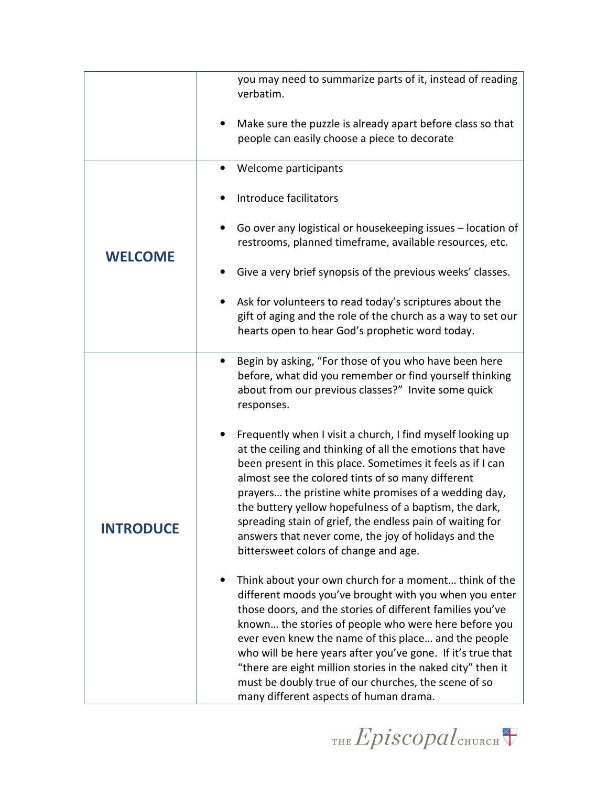|                  | you may need to summarize parts of it, instead of reading<br>verbatim.                                                                                                                                                                                                                                                                                                                                                                                                                                                       |
|------------------|------------------------------------------------------------------------------------------------------------------------------------------------------------------------------------------------------------------------------------------------------------------------------------------------------------------------------------------------------------------------------------------------------------------------------------------------------------------------------------------------------------------------------|
|                  | Make sure the puzzle is already apart before class so that<br>people can easily choose a piece to decorate                                                                                                                                                                                                                                                                                                                                                                                                                   |
|                  | Welcome participants<br>$\bullet$                                                                                                                                                                                                                                                                                                                                                                                                                                                                                            |
|                  | Introduce facilitators                                                                                                                                                                                                                                                                                                                                                                                                                                                                                                       |
|                  | Go over any logistical or housekeeping issues - location of<br>restrooms, planned timeframe, available resources, etc.                                                                                                                                                                                                                                                                                                                                                                                                       |
| <b>WELCOME</b>   | Give a very brief synopsis of the previous weeks' classes.                                                                                                                                                                                                                                                                                                                                                                                                                                                                   |
|                  | Ask for volunteers to read today's scriptures about the<br>gift of aging and the role of the church as a way to set our<br>hearts open to hear God's prophetic word today.                                                                                                                                                                                                                                                                                                                                                   |
|                  | Begin by asking, "For those of you who have been here<br>before, what did you remember or find yourself thinking<br>about from our previous classes?" Invite some quick<br>responses.                                                                                                                                                                                                                                                                                                                                        |
| <b>INTRODUCE</b> | Frequently when I visit a church, I find myself looking up<br>at the ceiling and thinking of all the emotions that have<br>been present in this place. Sometimes it feels as if I can<br>almost see the colored tints of so many different<br>prayers the pristine white promises of a wedding day,<br>the buttery yellow hopefulness of a baptism, the dark,<br>spreading stain of grief, the endless pain of waiting for<br>answers that never come, the joy of holidays and the<br>bittersweet colors of change and age.  |
|                  | Think about your own church for a moment think of the<br>different moods you've brought with you when you enter<br>those doors, and the stories of different families you've<br>known the stories of people who were here before you<br>ever even knew the name of this place and the people<br>who will be here years after you've gone. If it's true that<br>"there are eight million stories in the naked city" then it<br>must be doubly true of our churches, the scene of so<br>many different aspects of human drama. |

THE Episcopal CHURCH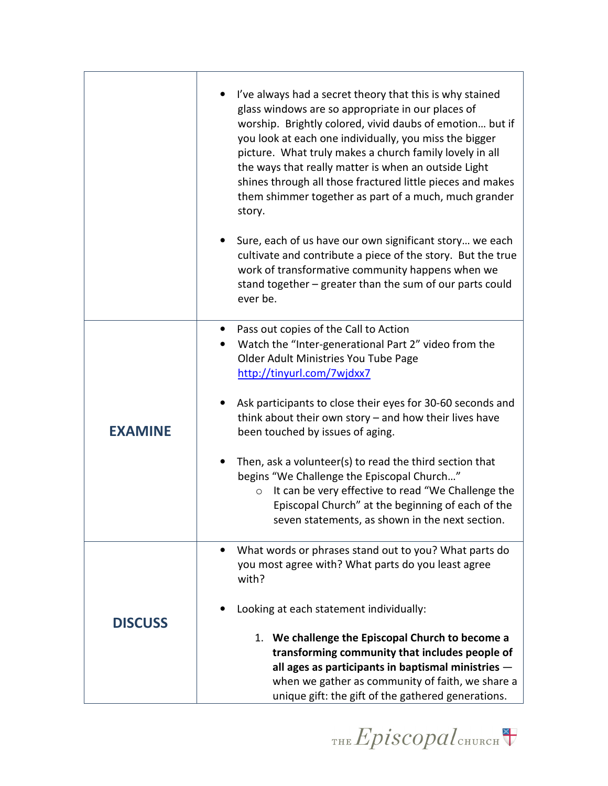|                | I've always had a secret theory that this is why stained<br>glass windows are so appropriate in our places of<br>worship. Brightly colored, vivid daubs of emotion but if<br>you look at each one individually, you miss the bigger<br>picture. What truly makes a church family lovely in all<br>the ways that really matter is when an outside Light<br>shines through all those fractured little pieces and makes<br>them shimmer together as part of a much, much grander<br>story. |
|----------------|-----------------------------------------------------------------------------------------------------------------------------------------------------------------------------------------------------------------------------------------------------------------------------------------------------------------------------------------------------------------------------------------------------------------------------------------------------------------------------------------|
|                | Sure, each of us have our own significant story we each<br>cultivate and contribute a piece of the story. But the true<br>work of transformative community happens when we<br>stand together - greater than the sum of our parts could<br>ever be.                                                                                                                                                                                                                                      |
|                | Pass out copies of the Call to Action<br>Watch the "Inter-generational Part 2" video from the<br>Older Adult Ministries You Tube Page<br>http://tinyurl.com/7wjdxx7                                                                                                                                                                                                                                                                                                                     |
| <b>EXAMINE</b> | Ask participants to close their eyes for 30-60 seconds and<br>think about their own story - and how their lives have<br>been touched by issues of aging.                                                                                                                                                                                                                                                                                                                                |
|                | Then, ask a volunteer(s) to read the third section that<br>begins "We Challenge the Episcopal Church"<br>It can be very effective to read "We Challenge the<br>$\circ$<br>Episcopal Church" at the beginning of each of the<br>seven statements, as shown in the next section.                                                                                                                                                                                                          |
|                | What words or phrases stand out to you? What parts do<br>$\bullet$<br>you most agree with? What parts do you least agree<br>with?                                                                                                                                                                                                                                                                                                                                                       |
| <b>DISCUSS</b> | Looking at each statement individually:                                                                                                                                                                                                                                                                                                                                                                                                                                                 |
|                | 1. We challenge the Episcopal Church to become a<br>transforming community that includes people of<br>all ages as participants in baptismal ministries -<br>when we gather as community of faith, we share a<br>unique gift: the gift of the gathered generations.                                                                                                                                                                                                                      |

THE Episcopal CHURCH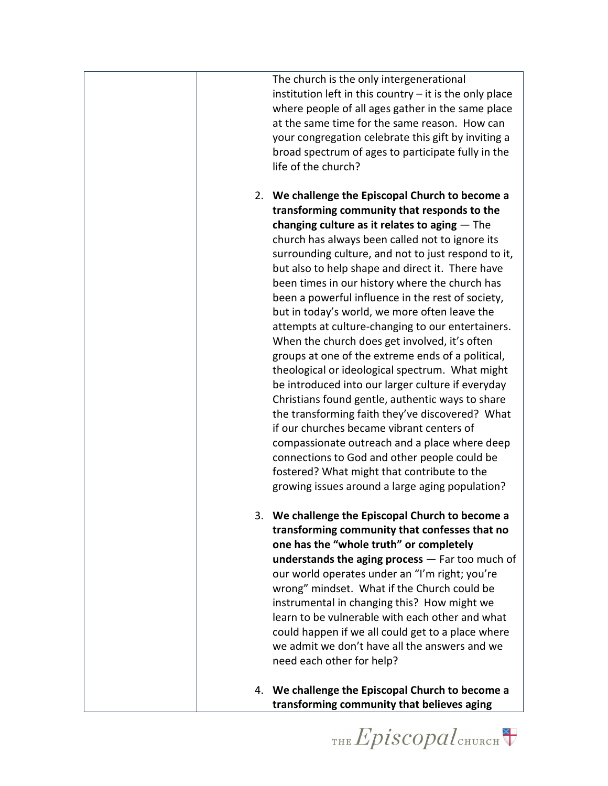| The church is the only intergenerational<br>institution left in this country $-$ it is the only place<br>where people of all ages gather in the same place<br>at the same time for the same reason. How can<br>your congregation celebrate this gift by inviting a<br>broad spectrum of ages to participate fully in the<br>life of the church?                                                                                                                                                                                                                                                                                                                                                                                                                                                                                                                                                                                                                                                                                                                                                    |
|----------------------------------------------------------------------------------------------------------------------------------------------------------------------------------------------------------------------------------------------------------------------------------------------------------------------------------------------------------------------------------------------------------------------------------------------------------------------------------------------------------------------------------------------------------------------------------------------------------------------------------------------------------------------------------------------------------------------------------------------------------------------------------------------------------------------------------------------------------------------------------------------------------------------------------------------------------------------------------------------------------------------------------------------------------------------------------------------------|
| 2. We challenge the Episcopal Church to become a<br>transforming community that responds to the<br>changing culture as it relates to aging $-$ The<br>church has always been called not to ignore its<br>surrounding culture, and not to just respond to it,<br>but also to help shape and direct it. There have<br>been times in our history where the church has<br>been a powerful influence in the rest of society,<br>but in today's world, we more often leave the<br>attempts at culture-changing to our entertainers.<br>When the church does get involved, it's often<br>groups at one of the extreme ends of a political,<br>theological or ideological spectrum. What might<br>be introduced into our larger culture if everyday<br>Christians found gentle, authentic ways to share<br>the transforming faith they've discovered? What<br>if our churches became vibrant centers of<br>compassionate outreach and a place where deep<br>connections to God and other people could be<br>fostered? What might that contribute to the<br>growing issues around a large aging population? |
| 3. We challenge the Episcopal Church to become a<br>transforming community that confesses that no<br>one has the "whole truth" or completely<br>understands the aging process $-$ Far too much of<br>our world operates under an "I'm right; you're<br>wrong" mindset. What if the Church could be<br>instrumental in changing this? How might we<br>learn to be vulnerable with each other and what<br>could happen if we all could get to a place where<br>we admit we don't have all the answers and we<br>need each other for help?                                                                                                                                                                                                                                                                                                                                                                                                                                                                                                                                                            |
| 4. We challenge the Episcopal Church to become a<br>transforming community that believes aging                                                                                                                                                                                                                                                                                                                                                                                                                                                                                                                                                                                                                                                                                                                                                                                                                                                                                                                                                                                                     |

THE Episcopal CHURCH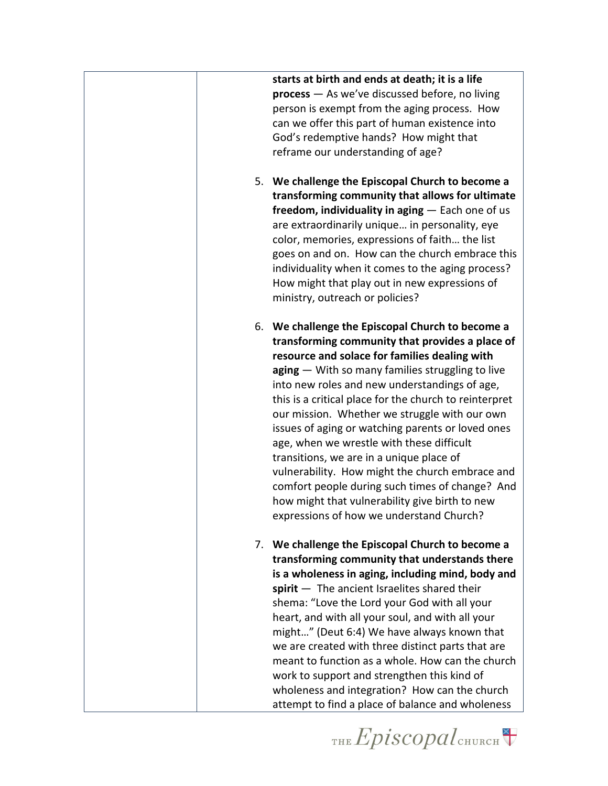| starts at birth and ends at death; it is a life<br>$process - As we've discussed before, no living$                                                                                                                                                                                                                                                                                                                                                                                                                                                                                                                                                                                                                    |
|------------------------------------------------------------------------------------------------------------------------------------------------------------------------------------------------------------------------------------------------------------------------------------------------------------------------------------------------------------------------------------------------------------------------------------------------------------------------------------------------------------------------------------------------------------------------------------------------------------------------------------------------------------------------------------------------------------------------|
| person is exempt from the aging process. How                                                                                                                                                                                                                                                                                                                                                                                                                                                                                                                                                                                                                                                                           |
| can we offer this part of human existence into                                                                                                                                                                                                                                                                                                                                                                                                                                                                                                                                                                                                                                                                         |
| God's redemptive hands? How might that                                                                                                                                                                                                                                                                                                                                                                                                                                                                                                                                                                                                                                                                                 |
| reframe our understanding of age?                                                                                                                                                                                                                                                                                                                                                                                                                                                                                                                                                                                                                                                                                      |
| 5. We challenge the Episcopal Church to become a<br>transforming community that allows for ultimate<br>freedom, individuality in aging - Each one of us<br>are extraordinarily unique in personality, eye<br>color, memories, expressions of faith the list<br>goes on and on. How can the church embrace this<br>individuality when it comes to the aging process?<br>How might that play out in new expressions of                                                                                                                                                                                                                                                                                                   |
| ministry, outreach or policies?                                                                                                                                                                                                                                                                                                                                                                                                                                                                                                                                                                                                                                                                                        |
| 6. We challenge the Episcopal Church to become a<br>transforming community that provides a place of<br>resource and solace for families dealing with<br>aging - With so many families struggling to live<br>into new roles and new understandings of age,<br>this is a critical place for the church to reinterpret<br>our mission. Whether we struggle with our own<br>issues of aging or watching parents or loved ones<br>age, when we wrestle with these difficult<br>transitions, we are in a unique place of<br>vulnerability. How might the church embrace and<br>comfort people during such times of change? And<br>how might that vulnerability give birth to new<br>expressions of how we understand Church? |
| 7. We challenge the Episcopal Church to become a<br>transforming community that understands there<br>is a wholeness in aging, including mind, body and<br>spirit - The ancient Israelites shared their<br>shema: "Love the Lord your God with all your<br>heart, and with all your soul, and with all your<br>might" (Deut 6:4) We have always known that<br>we are created with three distinct parts that are<br>meant to function as a whole. How can the church<br>work to support and strengthen this kind of<br>wholeness and integration? How can the church                                                                                                                                                     |
| attempt to find a place of balance and wholeness                                                                                                                                                                                                                                                                                                                                                                                                                                                                                                                                                                                                                                                                       |

THE Episcopal CHURCH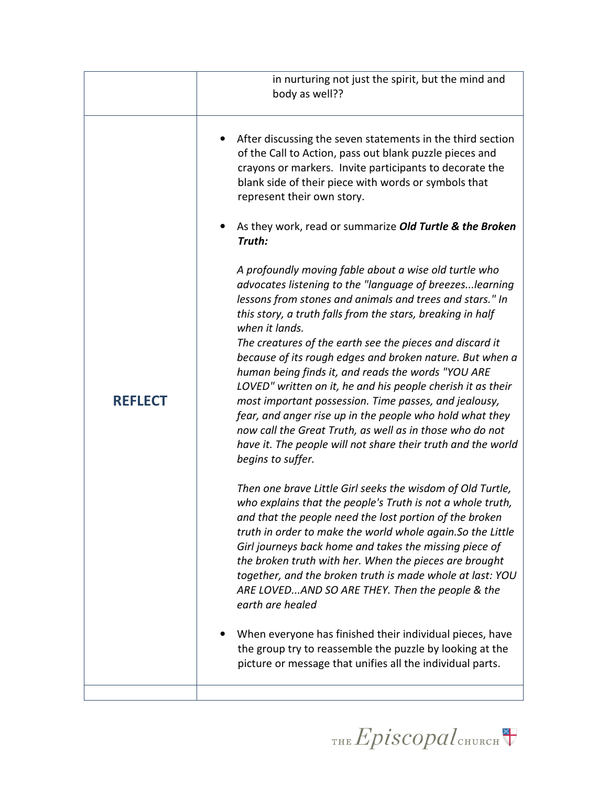|                | in nurturing not just the spirit, but the mind and<br>body as well??                                                                                                                                                                                                                                                                                                                                                                                                                                                                                                                                                                                                                                                                                                                                                                                                                                                                                                                                                                                                                                                                                                                                                                                                                                                                                                                                                                                                                                                                                                                                                                                                                                                                                                                                                              |
|----------------|-----------------------------------------------------------------------------------------------------------------------------------------------------------------------------------------------------------------------------------------------------------------------------------------------------------------------------------------------------------------------------------------------------------------------------------------------------------------------------------------------------------------------------------------------------------------------------------------------------------------------------------------------------------------------------------------------------------------------------------------------------------------------------------------------------------------------------------------------------------------------------------------------------------------------------------------------------------------------------------------------------------------------------------------------------------------------------------------------------------------------------------------------------------------------------------------------------------------------------------------------------------------------------------------------------------------------------------------------------------------------------------------------------------------------------------------------------------------------------------------------------------------------------------------------------------------------------------------------------------------------------------------------------------------------------------------------------------------------------------------------------------------------------------------------------------------------------------|
| <b>REFLECT</b> | After discussing the seven statements in the third section<br>of the Call to Action, pass out blank puzzle pieces and<br>crayons or markers. Invite participants to decorate the<br>blank side of their piece with words or symbols that<br>represent their own story.<br>As they work, read or summarize Old Turtle & the Broken<br>Truth:<br>A profoundly moving fable about a wise old turtle who<br>advocates listening to the "language of breezeslearning<br>lessons from stones and animals and trees and stars." In<br>this story, a truth falls from the stars, breaking in half<br>when it lands.<br>The creatures of the earth see the pieces and discard it<br>because of its rough edges and broken nature. But when a<br>human being finds it, and reads the words "YOU ARE<br>LOVED" written on it, he and his people cherish it as their<br>most important possession. Time passes, and jealousy,<br>fear, and anger rise up in the people who hold what they<br>now call the Great Truth, as well as in those who do not<br>have it. The people will not share their truth and the world<br>begins to suffer.<br>Then one brave Little Girl seeks the wisdom of Old Turtle,<br>who explains that the people's Truth is not a whole truth,<br>and that the people need the lost portion of the broken<br>truth in order to make the world whole again. So the Little<br>Girl journeys back home and takes the missing piece of<br>the broken truth with her. When the pieces are brought<br>together, and the broken truth is made whole at last: YOU<br>ARE LOVEDAND SO ARE THEY. Then the people & the<br>earth are healed<br>When everyone has finished their individual pieces, have<br>the group try to reassemble the puzzle by looking at the<br>picture or message that unifies all the individual parts. |
|                |                                                                                                                                                                                                                                                                                                                                                                                                                                                                                                                                                                                                                                                                                                                                                                                                                                                                                                                                                                                                                                                                                                                                                                                                                                                                                                                                                                                                                                                                                                                                                                                                                                                                                                                                                                                                                                   |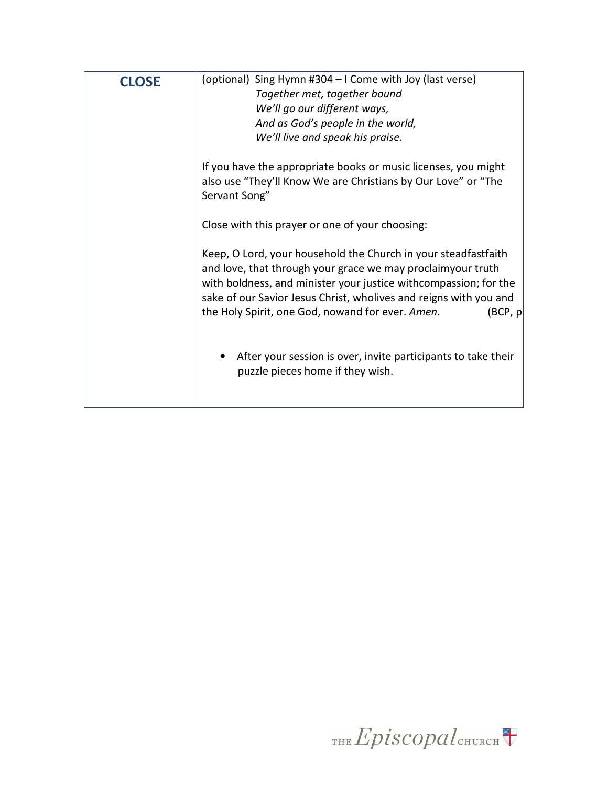| <b>CLOSE</b> | (optional) Sing Hymn #304 - I Come with Joy (last verse)<br>Together met, together bound<br>We'll go our different ways,<br>And as God's people in the world,<br>We'll live and speak his praise.                                                                                                                                      |
|--------------|----------------------------------------------------------------------------------------------------------------------------------------------------------------------------------------------------------------------------------------------------------------------------------------------------------------------------------------|
|              | If you have the appropriate books or music licenses, you might<br>also use "They'll Know We are Christians by Our Love" or "The<br>Servant Song"                                                                                                                                                                                       |
|              | Close with this prayer or one of your choosing:                                                                                                                                                                                                                                                                                        |
|              | Keep, O Lord, your household the Church in your steadfastfaith<br>and love, that through your grace we may proclaimyour truth<br>with boldness, and minister your justice withcompassion; for the<br>sake of our Savior Jesus Christ, wholives and reigns with you and<br>the Holy Spirit, one God, nowand for ever. Amen.<br>(BCP, p) |
|              | After your session is over, invite participants to take their<br>puzzle pieces home if they wish.                                                                                                                                                                                                                                      |

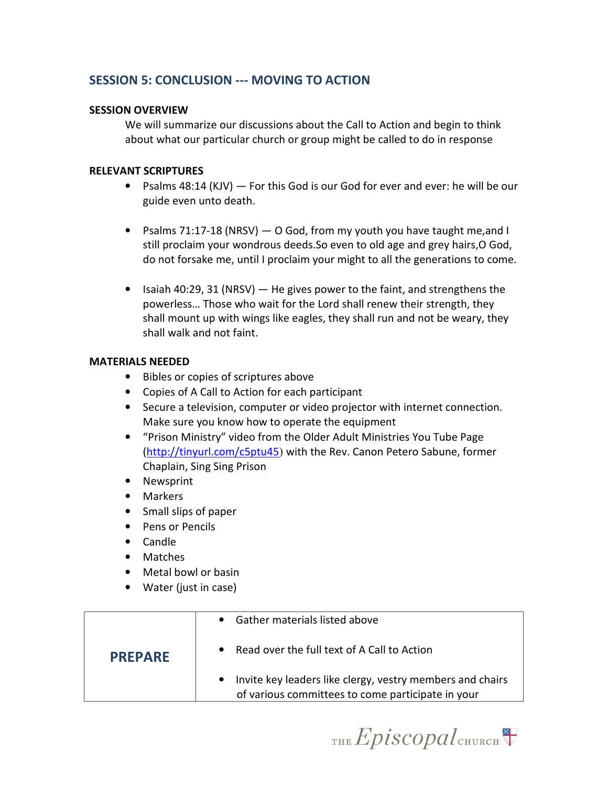### SESSION 5: CONCLUSION --- MOVING TO ACTION

#### SESSION OVERVIEW

We will summarize our discussions about the Call to Action and begin to think about what our particular church or group might be called to do in response

#### RELEVANT SCRIPTURES

- Psalms 48:14 (KJV) For this God is our God for ever and ever: he will be our guide even unto death.
- Psalms 71:17-18 (NRSV) O God, from my youth you have taught me,and I still proclaim your wondrous deeds.So even to old age and grey hairs,O God, do not forsake me, until I proclaim your might to all the generations to come.
- Isaiah 40:29, 31 (NRSV) He gives power to the faint, and strengthens the powerless… Those who wait for the Lord shall renew their strength, they shall mount up with wings like eagles, they shall run and not be weary, they shall walk and not faint.

#### MATERIALS NEEDED

- Bibles or copies of scriptures above
- Copies of A Call to Action for each participant
- Secure a television, computer or video projector with internet connection. Make sure you know how to operate the equipment
- "Prison Ministry" video from the Older Adult Ministries You Tube Page (http://tinyurl.com/c5ptu45) with the Rev. Canon Petero Sabune, former Chaplain, Sing Sing Prison
- Newsprint
- Markers
- Small slips of paper
- Pens or Pencils
- Candle
- Matches
- Metal bowl or basin
- Water (just in case)

|                | Gather materials listed above<br>$\bullet$                                                                     |
|----------------|----------------------------------------------------------------------------------------------------------------|
| <b>PREPARE</b> | Read over the full text of A Call to Action                                                                    |
|                | Invite key leaders like clergy, vestry members and chairs<br>of various committees to come participate in your |

THE  $Episcopal$ <sub>CHURCH</sub>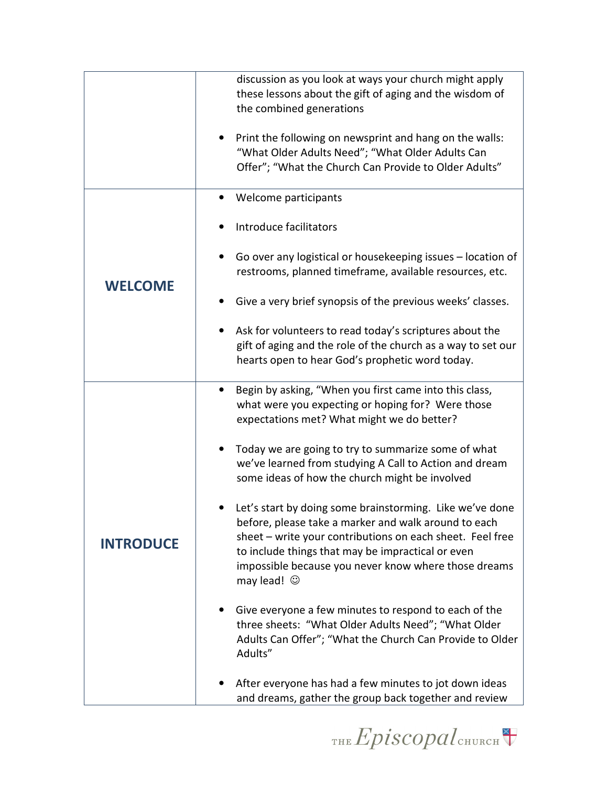|                  | discussion as you look at ways your church might apply<br>these lessons about the gift of aging and the wisdom of<br>the combined generations<br>Print the following on newsprint and hang on the walls:<br>"What Older Adults Need"; "What Older Adults Can<br>Offer"; "What the Church Can Provide to Older Adults" |
|------------------|-----------------------------------------------------------------------------------------------------------------------------------------------------------------------------------------------------------------------------------------------------------------------------------------------------------------------|
|                  | Welcome participants                                                                                                                                                                                                                                                                                                  |
|                  | Introduce facilitators                                                                                                                                                                                                                                                                                                |
|                  | Go over any logistical or housekeeping issues - location of<br>restrooms, planned timeframe, available resources, etc.                                                                                                                                                                                                |
| <b>WELCOME</b>   | Give a very brief synopsis of the previous weeks' classes.                                                                                                                                                                                                                                                            |
|                  | Ask for volunteers to read today's scriptures about the<br>gift of aging and the role of the church as a way to set our<br>hearts open to hear God's prophetic word today.                                                                                                                                            |
| <b>INTRODUCE</b> | Begin by asking, "When you first came into this class,<br>what were you expecting or hoping for? Were those<br>expectations met? What might we do better?                                                                                                                                                             |
|                  | Today we are going to try to summarize some of what<br>we've learned from studying A Call to Action and dream<br>some ideas of how the church might be involved                                                                                                                                                       |
|                  | Let's start by doing some brainstorming. Like we've done<br>before, please take a marker and walk around to each<br>sheet - write your contributions on each sheet. Feel free<br>to include things that may be impractical or even<br>impossible because you never know where those dreams<br>may lead! $\odot$       |
|                  | Give everyone a few minutes to respond to each of the<br>three sheets: "What Older Adults Need"; "What Older<br>Adults Can Offer"; "What the Church Can Provide to Older<br>Adults"                                                                                                                                   |
|                  | After everyone has had a few minutes to jot down ideas<br>and dreams, gather the group back together and review                                                                                                                                                                                                       |

THE Episcopal CHURCH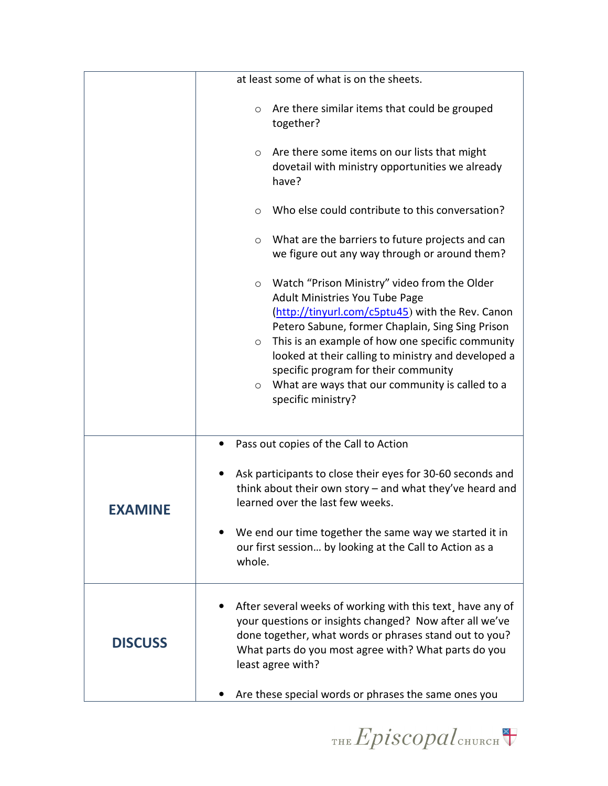|                | at least some of what is on the sheets.                                                                                                                                                                                                                                                                                                                                                                                                             |
|----------------|-----------------------------------------------------------------------------------------------------------------------------------------------------------------------------------------------------------------------------------------------------------------------------------------------------------------------------------------------------------------------------------------------------------------------------------------------------|
|                | Are there similar items that could be grouped<br>$\circ$<br>together?                                                                                                                                                                                                                                                                                                                                                                               |
|                | Are there some items on our lists that might<br>$\circ$<br>dovetail with ministry opportunities we already<br>have?                                                                                                                                                                                                                                                                                                                                 |
|                | Who else could contribute to this conversation?<br>$\Omega$                                                                                                                                                                                                                                                                                                                                                                                         |
|                | What are the barriers to future projects and can<br>$\circ$<br>we figure out any way through or around them?                                                                                                                                                                                                                                                                                                                                        |
|                | Watch "Prison Ministry" video from the Older<br>$\circ$<br>Adult Ministries You Tube Page<br>(http://tinyurl.com/c5ptu45) with the Rev. Canon<br>Petero Sabune, former Chaplain, Sing Sing Prison<br>This is an example of how one specific community<br>$\circ$<br>looked at their calling to ministry and developed a<br>specific program for their community<br>What are ways that our community is called to a<br>$\circ$<br>specific ministry? |
|                | Pass out copies of the Call to Action                                                                                                                                                                                                                                                                                                                                                                                                               |
| <b>EXAMINE</b> | Ask participants to close their eyes for 30-60 seconds and<br>think about their own story – and what they've heard and<br>learned over the last few weeks.                                                                                                                                                                                                                                                                                          |
|                | We end our time together the same way we started it in<br>our first session by looking at the Call to Action as a<br>whole.                                                                                                                                                                                                                                                                                                                         |
| <b>DISCUSS</b> | After several weeks of working with this text, have any of<br>your questions or insights changed? Now after all we've<br>done together, what words or phrases stand out to you?<br>What parts do you most agree with? What parts do you<br>least agree with?                                                                                                                                                                                        |
|                | Are these special words or phrases the same ones you                                                                                                                                                                                                                                                                                                                                                                                                |

THE Episcopal CHURCH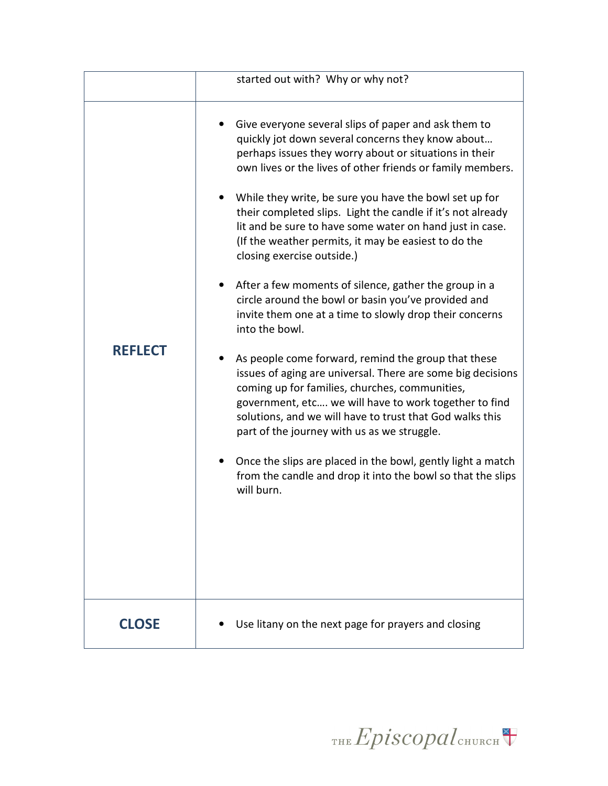|                | started out with? Why or why not?                                                                                                                                                                                                                                                                                                                                                                                                                                                                                                                                                                                                                                                                                                                                                                                                                                                                                                                                                                                                                                                                                                                                                                 |
|----------------|---------------------------------------------------------------------------------------------------------------------------------------------------------------------------------------------------------------------------------------------------------------------------------------------------------------------------------------------------------------------------------------------------------------------------------------------------------------------------------------------------------------------------------------------------------------------------------------------------------------------------------------------------------------------------------------------------------------------------------------------------------------------------------------------------------------------------------------------------------------------------------------------------------------------------------------------------------------------------------------------------------------------------------------------------------------------------------------------------------------------------------------------------------------------------------------------------|
| <b>REFLECT</b> | Give everyone several slips of paper and ask them to<br>quickly jot down several concerns they know about<br>perhaps issues they worry about or situations in their<br>own lives or the lives of other friends or family members.<br>While they write, be sure you have the bowl set up for<br>their completed slips. Light the candle if it's not already<br>lit and be sure to have some water on hand just in case.<br>(If the weather permits, it may be easiest to do the<br>closing exercise outside.)<br>After a few moments of silence, gather the group in a<br>circle around the bowl or basin you've provided and<br>invite them one at a time to slowly drop their concerns<br>into the bowl.<br>As people come forward, remind the group that these<br>issues of aging are universal. There are some big decisions<br>coming up for families, churches, communities,<br>government, etc we will have to work together to find<br>solutions, and we will have to trust that God walks this<br>part of the journey with us as we struggle.<br>Once the slips are placed in the bowl, gently light a match<br>from the candle and drop it into the bowl so that the slips<br>will burn. |
| <b>CLOSE</b>   | Use litany on the next page for prayers and closing                                                                                                                                                                                                                                                                                                                                                                                                                                                                                                                                                                                                                                                                                                                                                                                                                                                                                                                                                                                                                                                                                                                                               |

THE Episcopal CHURCH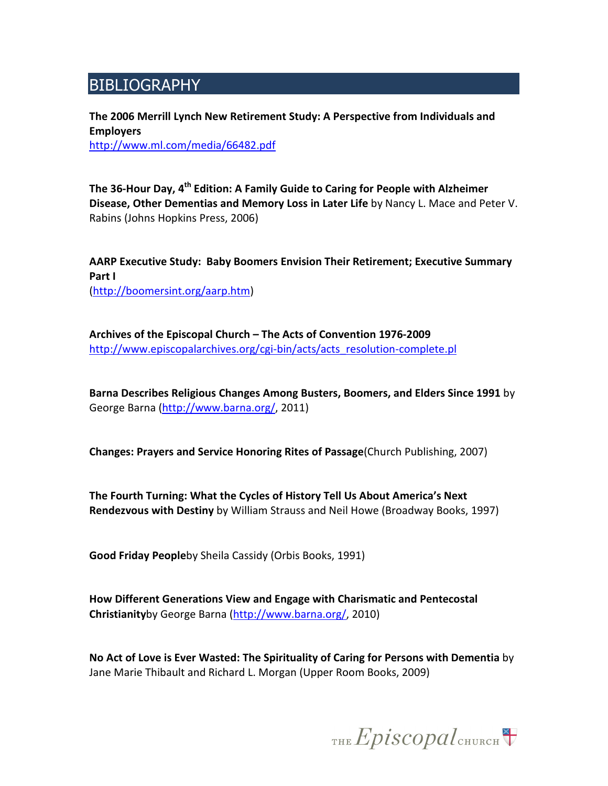## BIBLIOGRAPHY

The 2006 Merrill Lynch New Retirement Study: A Perspective from Individuals and Employers http://www.ml.com/media/66482.pdf

The 36-Hour Day, 4<sup>th</sup> Edition: A Family Guide to Caring for People with Alzheimer Disease, Other Dementias and Memory Loss in Later Life by Nancy L. Mace and Peter V. Rabins (Johns Hopkins Press, 2006)

AARP Executive Study: Baby Boomers Envision Their Retirement; Executive Summary Part I (http://boomersint.org/aarp.htm)

Archives of the Episcopal Church – The Acts of Convention 1976-2009 http://www.episcopalarchives.org/cgi-bin/acts/acts\_resolution-complete.pl

Barna Describes Religious Changes Among Busters, Boomers, and Elders Since 1991 by George Barna (http://www.barna.org/, 2011)

Changes: Prayers and Service Honoring Rites of Passage(Church Publishing, 2007)

The Fourth Turning: What the Cycles of History Tell Us About America's Next Rendezvous with Destiny by William Strauss and Neil Howe (Broadway Books, 1997)

Good Friday Peopleby Sheila Cassidy (Orbis Books, 1991)

How Different Generations View and Engage with Charismatic and Pentecostal Christianityby George Barna (http://www.barna.org/, 2010)

No Act of Love is Ever Wasted: The Spirituality of Caring for Persons with Dementia by Jane Marie Thibault and Richard L. Morgan (Upper Room Books, 2009)

THE  $Epis copal$ <sub>CHURCH</sub>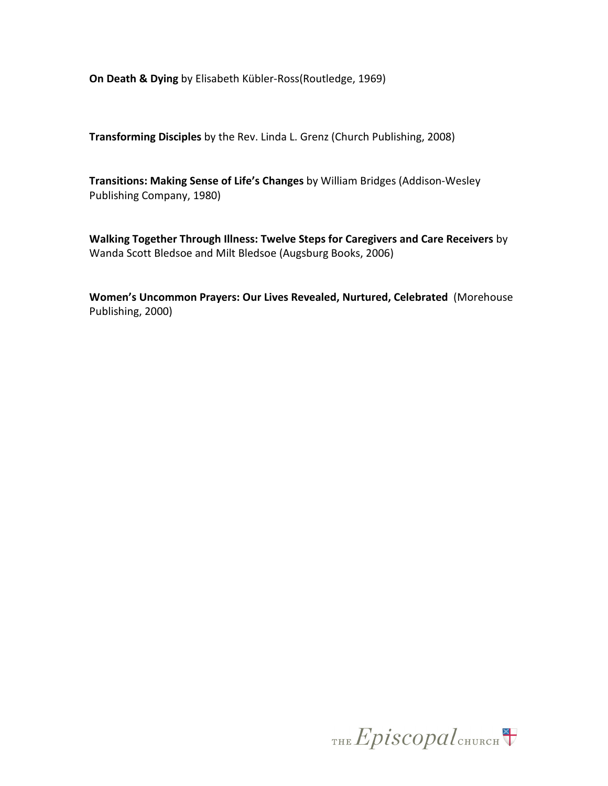On Death & Dying by Elisabeth Kübler-Ross(Routledge, 1969)

Transforming Disciples by the Rev. Linda L. Grenz (Church Publishing, 2008)

Transitions: Making Sense of Life's Changes by William Bridges (Addison-Wesley Publishing Company, 1980)

Walking Together Through Illness: Twelve Steps for Caregivers and Care Receivers by Wanda Scott Bledsoe and Milt Bledsoe (Augsburg Books, 2006)

Women's Uncommon Prayers: Our Lives Revealed, Nurtured, Celebrated (Morehouse Publishing, 2000)

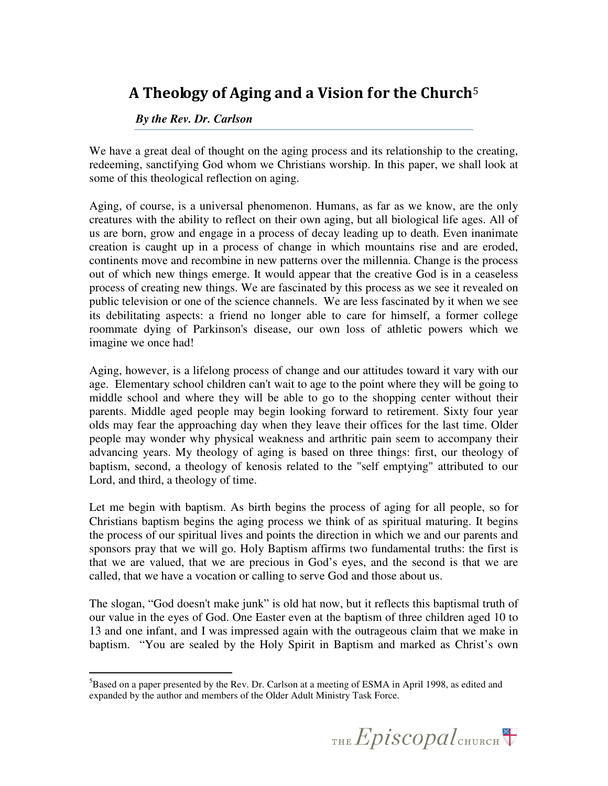## A Theology of Aging and a Vision for the Church<sup>5</sup>

#### *By the Rev. Dr. Carlson*

We have a great deal of thought on the aging process and its relationship to the creating, redeeming, sanctifying God whom we Christians worship. In this paper, we shall look at some of this theological reflection on aging.

Aging, of course, is a universal phenomenon. Humans, as far as we know, are the only creatures with the ability to reflect on their own aging, but all biological life ages. All of us are born, grow and engage in a process of decay leading up to death. Even inanimate creation is caught up in a process of change in which mountains rise and are eroded, continents move and recombine in new patterns over the millennia. Change is the process out of which new things emerge. It would appear that the creative God is in a ceaseless process of creating new things. We are fascinated by this process as we see it revealed on public television or one of the science channels. We are less fascinated by it when we see its debilitating aspects: a friend no longer able to care for himself, a former college roommate dying of Parkinson's disease, our own loss of athletic powers which we imagine we once had!

Aging, however, is a lifelong process of change and our attitudes toward it vary with our age. Elementary school children can't wait to age to the point where they will be going to middle school and where they will be able to go to the shopping center without their parents. Middle aged people may begin looking forward to retirement. Sixty four year olds may fear the approaching day when they leave their offices for the last time. Older people may wonder why physical weakness and arthritic pain seem to accompany their advancing years. My theology of aging is based on three things: first, our theology of baptism, second, a theology of kenosis related to the "self emptying" attributed to our Lord, and third, a theology of time.

Let me begin with baptism. As birth begins the process of aging for all people, so for Christians baptism begins the aging process we think of as spiritual maturing. It begins the process of our spiritual lives and points the direction in which we and our parents and sponsors pray that we will go. Holy Baptism affirms two fundamental truths: the first is that we are valued, that we are precious in God's eyes, and the second is that we are called, that we have a vocation or calling to serve God and those about us.

The slogan, "God doesn't make junk" is old hat now, but it reflects this baptismal truth of our value in the eyes of God. One Easter even at the baptism of three children aged 10 to 13 and one infant, and I was impressed again with the outrageous claim that we make in baptism. "You are sealed by the Holy Spirit in Baptism and marked as Christ's own

 $\overline{a}$ 

THE Episcopal CHURCH

 ${}^{5}$ Based on a paper presented by the Rev. Dr. Carlson at a meeting of ESMA in April 1998, as edited and expanded by the author and members of the Older Adult Ministry Task Force.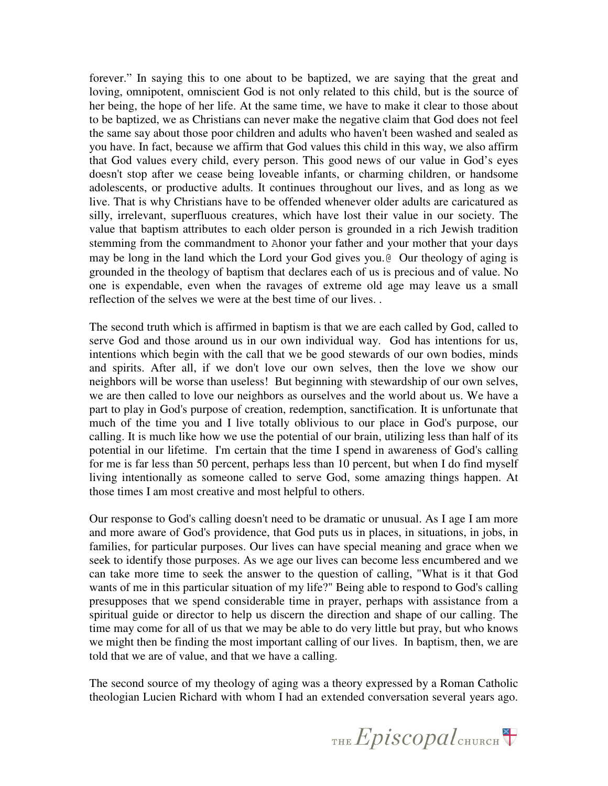forever." In saying this to one about to be baptized, we are saying that the great and loving, omnipotent, omniscient God is not only related to this child, but is the source of her being, the hope of her life. At the same time, we have to make it clear to those about to be baptized, we as Christians can never make the negative claim that God does not feel the same say about those poor children and adults who haven't been washed and sealed as you have. In fact, because we affirm that God values this child in this way, we also affirm that God values every child, every person. This good news of our value in God's eyes doesn't stop after we cease being loveable infants, or charming children, or handsome adolescents, or productive adults. It continues throughout our lives, and as long as we live. That is why Christians have to be offended whenever older adults are caricatured as silly, irrelevant, superfluous creatures, which have lost their value in our society. The value that baptism attributes to each older person is grounded in a rich Jewish tradition stemming from the commandment to Ahonor your father and your mother that your days may be long in the land which the Lord your God gives you.@ Our theology of aging is grounded in the theology of baptism that declares each of us is precious and of value. No one is expendable, even when the ravages of extreme old age may leave us a small reflection of the selves we were at the best time of our lives. .

The second truth which is affirmed in baptism is that we are each called by God, called to serve God and those around us in our own individual way. God has intentions for us, intentions which begin with the call that we be good stewards of our own bodies, minds and spirits. After all, if we don't love our own selves, then the love we show our neighbors will be worse than useless! But beginning with stewardship of our own selves, we are then called to love our neighbors as ourselves and the world about us. We have a part to play in God's purpose of creation, redemption, sanctification. It is unfortunate that much of the time you and I live totally oblivious to our place in God's purpose, our calling. It is much like how we use the potential of our brain, utilizing less than half of its potential in our lifetime. I'm certain that the time I spend in awareness of God's calling for me is far less than 50 percent, perhaps less than 10 percent, but when I do find myself living intentionally as someone called to serve God, some amazing things happen. At those times I am most creative and most helpful to others.

Our response to God's calling doesn't need to be dramatic or unusual. As I age I am more and more aware of God's providence, that God puts us in places, in situations, in jobs, in families, for particular purposes. Our lives can have special meaning and grace when we seek to identify those purposes. As we age our lives can become less encumbered and we can take more time to seek the answer to the question of calling, "What is it that God wants of me in this particular situation of my life?" Being able to respond to God's calling presupposes that we spend considerable time in prayer, perhaps with assistance from a spiritual guide or director to help us discern the direction and shape of our calling. The time may come for all of us that we may be able to do very little but pray, but who knows we might then be finding the most important calling of our lives. In baptism, then, we are told that we are of value, and that we have a calling.

The second source of my theology of aging was a theory expressed by a Roman Catholic theologian Lucien Richard with whom I had an extended conversation several years ago.

THE  $Epis copal$ <sub>CHURCH</sub>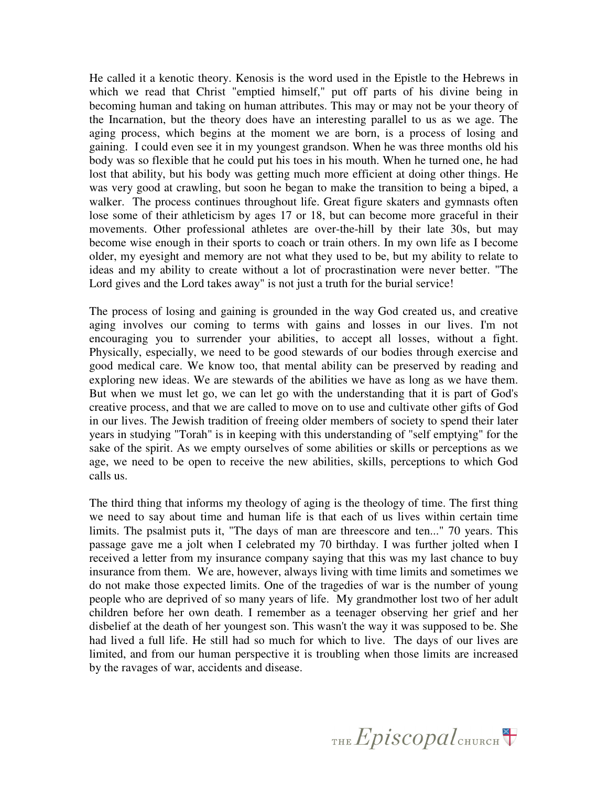He called it a kenotic theory. Kenosis is the word used in the Epistle to the Hebrews in which we read that Christ "emptied himself," put off parts of his divine being in becoming human and taking on human attributes. This may or may not be your theory of the Incarnation, but the theory does have an interesting parallel to us as we age. The aging process, which begins at the moment we are born, is a process of losing and gaining. I could even see it in my youngest grandson. When he was three months old his body was so flexible that he could put his toes in his mouth. When he turned one, he had lost that ability, but his body was getting much more efficient at doing other things. He was very good at crawling, but soon he began to make the transition to being a biped, a walker. The process continues throughout life. Great figure skaters and gymnasts often lose some of their athleticism by ages 17 or 18, but can become more graceful in their movements. Other professional athletes are over-the-hill by their late 30s, but may become wise enough in their sports to coach or train others. In my own life as I become older, my eyesight and memory are not what they used to be, but my ability to relate to ideas and my ability to create without a lot of procrastination were never better. "The Lord gives and the Lord takes away" is not just a truth for the burial service!

The process of losing and gaining is grounded in the way God created us, and creative aging involves our coming to terms with gains and losses in our lives. I'm not encouraging you to surrender your abilities, to accept all losses, without a fight. Physically, especially, we need to be good stewards of our bodies through exercise and good medical care. We know too, that mental ability can be preserved by reading and exploring new ideas. We are stewards of the abilities we have as long as we have them. But when we must let go, we can let go with the understanding that it is part of God's creative process, and that we are called to move on to use and cultivate other gifts of God in our lives. The Jewish tradition of freeing older members of society to spend their later years in studying "Torah" is in keeping with this understanding of "self emptying" for the sake of the spirit. As we empty ourselves of some abilities or skills or perceptions as we age, we need to be open to receive the new abilities, skills, perceptions to which God calls us.

The third thing that informs my theology of aging is the theology of time. The first thing we need to say about time and human life is that each of us lives within certain time limits. The psalmist puts it, "The days of man are threescore and ten..." 70 years. This passage gave me a jolt when I celebrated my 70 birthday. I was further jolted when I received a letter from my insurance company saying that this was my last chance to buy insurance from them. We are, however, always living with time limits and sometimes we do not make those expected limits. One of the tragedies of war is the number of young people who are deprived of so many years of life. My grandmother lost two of her adult children before her own death. I remember as a teenager observing her grief and her disbelief at the death of her youngest son. This wasn't the way it was supposed to be. She had lived a full life. He still had so much for which to live. The days of our lives are limited, and from our human perspective it is troubling when those limits are increased by the ravages of war, accidents and disease.

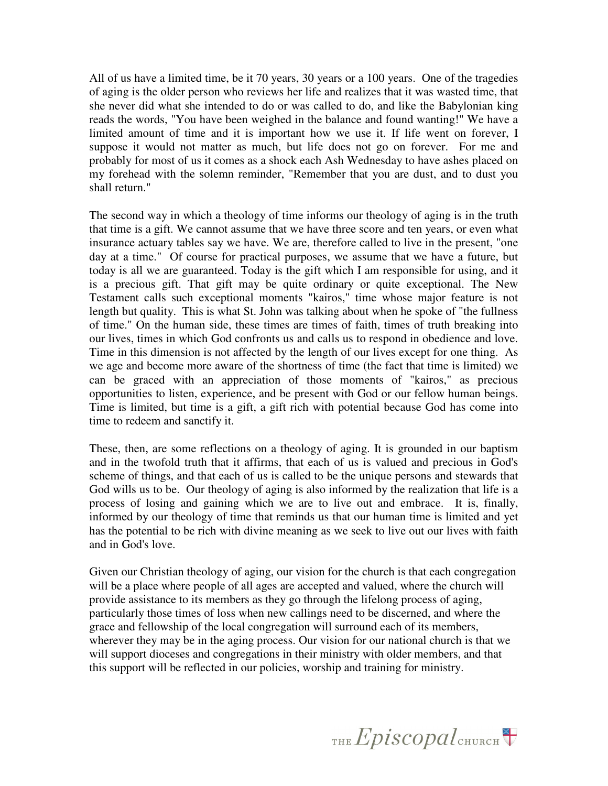All of us have a limited time, be it 70 years, 30 years or a 100 years. One of the tragedies of aging is the older person who reviews her life and realizes that it was wasted time, that she never did what she intended to do or was called to do, and like the Babylonian king reads the words, "You have been weighed in the balance and found wanting!" We have a limited amount of time and it is important how we use it. If life went on forever, I suppose it would not matter as much, but life does not go on forever. For me and probably for most of us it comes as a shock each Ash Wednesday to have ashes placed on my forehead with the solemn reminder, "Remember that you are dust, and to dust you shall return."

The second way in which a theology of time informs our theology of aging is in the truth that time is a gift. We cannot assume that we have three score and ten years, or even what insurance actuary tables say we have. We are, therefore called to live in the present, "one day at a time." Of course for practical purposes, we assume that we have a future, but today is all we are guaranteed. Today is the gift which I am responsible for using, and it is a precious gift. That gift may be quite ordinary or quite exceptional. The New Testament calls such exceptional moments "kairos," time whose major feature is not length but quality. This is what St. John was talking about when he spoke of "the fullness of time." On the human side, these times are times of faith, times of truth breaking into our lives, times in which God confronts us and calls us to respond in obedience and love. Time in this dimension is not affected by the length of our lives except for one thing. As we age and become more aware of the shortness of time (the fact that time is limited) we can be graced with an appreciation of those moments of "kairos," as precious opportunities to listen, experience, and be present with God or our fellow human beings. Time is limited, but time is a gift, a gift rich with potential because God has come into time to redeem and sanctify it.

These, then, are some reflections on a theology of aging. It is grounded in our baptism and in the twofold truth that it affirms, that each of us is valued and precious in God's scheme of things, and that each of us is called to be the unique persons and stewards that God wills us to be. Our theology of aging is also informed by the realization that life is a process of losing and gaining which we are to live out and embrace. It is, finally, informed by our theology of time that reminds us that our human time is limited and yet has the potential to be rich with divine meaning as we seek to live out our lives with faith and in God's love.

Given our Christian theology of aging, our vision for the church is that each congregation will be a place where people of all ages are accepted and valued, where the church will provide assistance to its members as they go through the lifelong process of aging, particularly those times of loss when new callings need to be discerned, and where the grace and fellowship of the local congregation will surround each of its members, wherever they may be in the aging process. Our vision for our national church is that we will support dioceses and congregations in their ministry with older members, and that this support will be reflected in our policies, worship and training for ministry.

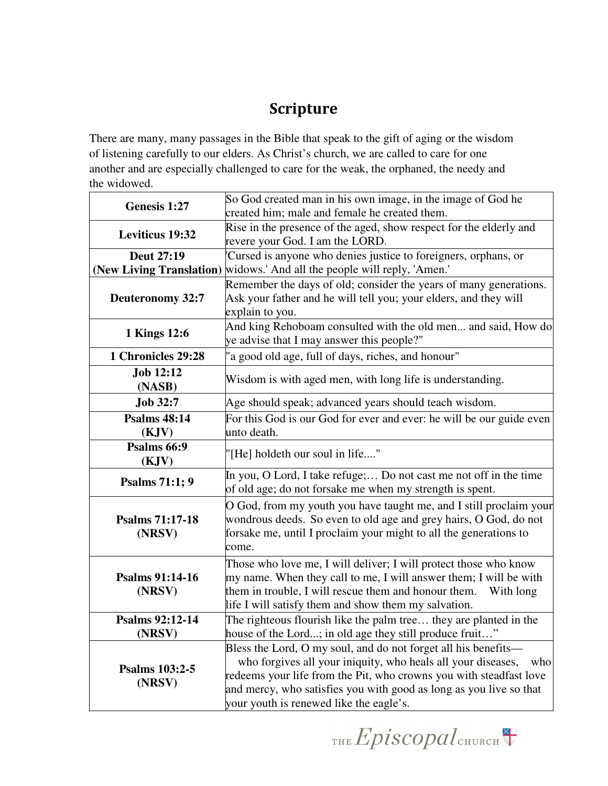## Scripture

There are many, many passages in the Bible that speak to the gift of aging or the wisdom of listening carefully to our elders. As Christ's church, we are called to care for one another and are especially challenged to care for the weak, the orphaned, the needy and the widowed.

| Genesis 1:27                | So God created man in his own image, in the image of God he                                                                                                                                                          |
|-----------------------------|----------------------------------------------------------------------------------------------------------------------------------------------------------------------------------------------------------------------|
|                             | created him; male and female he created them.                                                                                                                                                                        |
| <b>Leviticus 19:32</b>      | Rise in the presence of the aged, show respect for the elderly and                                                                                                                                                   |
|                             | revere your God. I am the LORD.                                                                                                                                                                                      |
| <b>Deut 27:19</b>           | 'Cursed is anyone who denies justice to foreigners, orphans, or                                                                                                                                                      |
| (New Living Translation)    | widows.' And all the people will reply, 'Amen.'                                                                                                                                                                      |
|                             | Remember the days of old; consider the years of many generations.                                                                                                                                                    |
| <b>Deuteronomy 32:7</b>     | Ask your father and he will tell you; your elders, and they will                                                                                                                                                     |
|                             | explain to you.                                                                                                                                                                                                      |
| 1 Kings 12:6                | And king Rehoboam consulted with the old men and said, How do                                                                                                                                                        |
|                             | ye advise that I may answer this people?"                                                                                                                                                                            |
| 1 Chronicles 29:28          | "a good old age, full of days, riches, and honour"                                                                                                                                                                   |
| <b>Job 12:12</b>            | Wisdom is with aged men, with long life is understanding.                                                                                                                                                            |
| (NASB)                      |                                                                                                                                                                                                                      |
| Job 32:7                    | Age should speak; advanced years should teach wisdom.                                                                                                                                                                |
| <b>Psalms 48:14</b>         | For this God is our God for ever and ever: he will be our guide even                                                                                                                                                 |
| (KJV)                       | unto death.                                                                                                                                                                                                          |
| <b>Psalms 66:9</b><br>(KJV) | "[He] holdeth our soul in life"                                                                                                                                                                                      |
| Psalms 71:1; 9              | In you, O Lord, I take refuge; Do not cast me not off in the time<br>of old age; do not forsake me when my strength is spent.                                                                                        |
| Psalms 71:17-18<br>(NRSV)   | O God, from my youth you have taught me, and I still proclaim your<br>wondrous deeds. So even to old age and grey hairs, O God, do not<br>forsake me, until I proclaim your might to all the generations to<br>come. |
|                             | Those who love me, I will deliver; I will protect those who know                                                                                                                                                     |
| Psalms 91:14-16             | my name. When they call to me, I will answer them; I will be with                                                                                                                                                    |
| (NRSV)                      | them in trouble, I will rescue them and honour them.<br>With long                                                                                                                                                    |
|                             | life I will satisfy them and show them my salvation.                                                                                                                                                                 |
| Psalms 92:12-14             | The righteous flourish like the palm tree they are planted in the                                                                                                                                                    |
| (NRSV)                      | house of the Lord; in old age they still produce fruit"                                                                                                                                                              |
|                             | Bless the Lord, O my soul, and do not forget all his benefits—                                                                                                                                                       |
| <b>Psalms 103:2-5</b>       | who forgives all your iniquity, who heals all your diseases,<br>who                                                                                                                                                  |
| (NRSV)                      | redeems your life from the Pit, who crowns you with steadfast love                                                                                                                                                   |
|                             | and mercy, who satisfies you with good as long as you live so that<br>your youth is renewed like the eagle's.                                                                                                        |
|                             |                                                                                                                                                                                                                      |

THE Episcopal CHURCH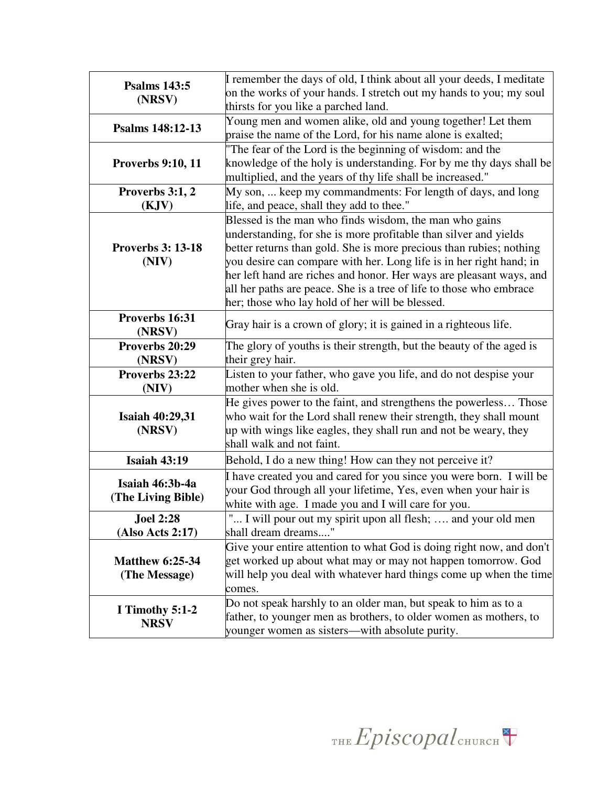| <b>Psalms 143:5</b><br>(NRSV) | I remember the days of old, I think about all your deeds, I meditate |
|-------------------------------|----------------------------------------------------------------------|
|                               | on the works of your hands. I stretch out my hands to you; my soul   |
|                               | thirsts for you like a parched land.                                 |
| Psalms 148:12-13              | Young men and women alike, old and young together! Let them          |
|                               | praise the name of the Lord, for his name alone is exalted;          |
|                               | "The fear of the Lord is the beginning of wisdom: and the            |
| <b>Proverbs 9:10, 11</b>      | knowledge of the holy is understanding. For by me thy days shall be  |
|                               | multiplied, and the years of thy life shall be increased."           |
| Proverbs 3:1, 2               | My son,  keep my commandments: For length of days, and long          |
| (KJV)                         | life, and peace, shall they add to thee."                            |
|                               | Blessed is the man who finds wisdom, the man who gains               |
|                               | understanding, for she is more profitable than silver and yields     |
| <b>Proverbs 3: 13-18</b>      | better returns than gold. She is more precious than rubies; nothing  |
| (NIV)                         | you desire can compare with her. Long life is in her right hand; in  |
|                               | her left hand are riches and honor. Her ways are pleasant ways, and  |
|                               | all her paths are peace. She is a tree of life to those who embrace  |
|                               | her; those who lay hold of her will be blessed.                      |
| Proverbs 16:31                | Gray hair is a crown of glory; it is gained in a righteous life.     |
| (NRSV)                        |                                                                      |
| Proverbs 20:29                | The glory of youths is their strength, but the beauty of the aged is |
| (NRSV)                        | their grey hair.                                                     |
| Proverbs 23:22                | Listen to your father, who gave you life, and do not despise your    |
| (NIV)                         | mother when she is old.                                              |
|                               | He gives power to the faint, and strengthens the powerless Those     |
| <b>Isaiah 40:29,31</b>        | who wait for the Lord shall renew their strength, they shall mount   |
| (NRSV)                        | up with wings like eagles, they shall run and not be weary, they     |
|                               | shall walk and not faint.                                            |
| <b>Isaiah 43:19</b>           | Behold, I do a new thing! How can they not perceive it?              |
| Isaiah 46:3b-4a               | I have created you and cared for you since you were born. I will be  |
| (The Living Bible)            | your God through all your lifetime, Yes, even when your hair is      |
|                               | white with age. I made you and I will care for you.                  |
| <b>Joel 2:28</b>              | " I will pour out my spirit upon all flesh;  and your old men        |
| (Also Acts 2:17)              | shall dream dreams"                                                  |
|                               | Give your entire attention to what God is doing right now, and don't |
| <b>Matthew 6:25-34</b>        | get worked up about what may or may not happen tomorrow. God         |
| (The Message)                 | will help you deal with whatever hard things come up when the time   |
|                               | comes.                                                               |
| I Timothy 5:1-2               | Do not speak harshly to an older man, but speak to him as to a       |
| <b>NRSV</b>                   | father, to younger men as brothers, to older women as mothers, to    |
|                               | vounger women as sisters—with absolute purity.                       |

THE Episcopal CHURCH